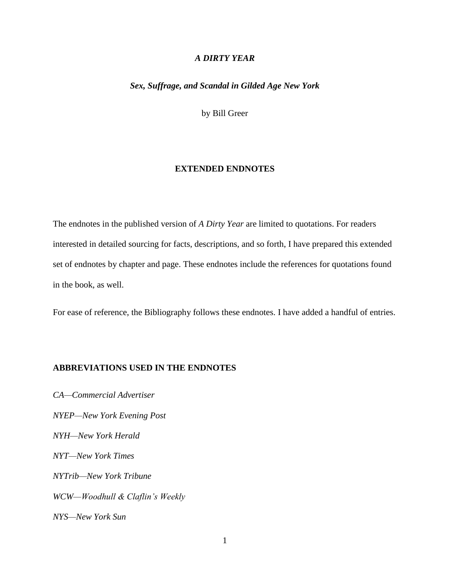### *A DIRTY YEAR*

# *Sex, Suffrage, and Scandal in Gilded Age New York*

by Bill Greer

#### **EXTENDED ENDNOTES**

The endnotes in the published version of *A Dirty Year* are limited to quotations. For readers interested in detailed sourcing for facts, descriptions, and so forth, I have prepared this extended set of endnotes by chapter and page. These endnotes include the references for quotations found in the book, as well.

For ease of reference, the Bibliography follows these endnotes. I have added a handful of entries.

# **ABBREVIATIONS USED IN THE ENDNOTES**

*CA—Commercial Advertiser NYEP—New York Evening Post NYH—New York Herald NYT—New York Times NYTrib—New York Tribune WCW—Woodhull & Claflin's Weekly NYS—New York Sun*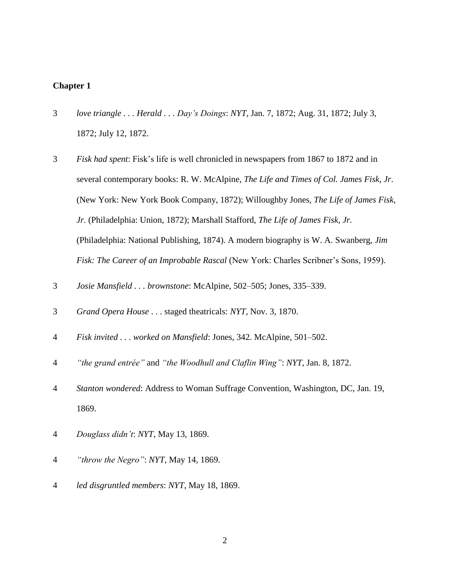- 3 *love triangle . . . Herald . . . Day's Doings*: *NYT,* Jan. 7, 1872; Aug. 31, 1872; July 3, 1872; July 12, 1872.
- 3 *Fisk had spent*: Fisk's life is well chronicled in newspapers from 1867 to 1872 and in several contemporary books: R. W. McAlpine, *The Life and Times of Col. James Fisk, Jr*. (New York: New York Book Company, 1872); Willoughby Jones, *The Life of James Fisk, Jr.* (Philadelphia: Union, 1872); Marshall Stafford, *The Life of James Fisk, Jr.* (Philadelphia: National Publishing, 1874). A modern biography is W. A. Swanberg, *Jim Fisk: The Career of an Improbable Rascal* (New York: Charles Scribner's Sons, 1959).
- 3 *Josie Mansfield . . . brownstone*: McAlpine, 502–505; Jones, 335–339.
- 3 *Grand Opera House* . . . staged theatricals: *NYT*, Nov. 3, 1870.
- 4 *Fisk invited . . . worked on Mansfield*: Jones, 342. McAlpine, 501–502.
- 4 *"the grand entrée"* and *"the Woodhull and Claflin Wing"*: *NYT*, Jan. 8, 1872.
- 4 *Stanton wondered*: Address to Woman Suffrage Convention, Washington, DC, Jan. 19, 1869.
- 4 *Douglass didn't*: *NYT*, May 13, 1869.
- 4 *"throw the Negro"*: *NYT*, May 14, 1869.
- 4 *led disgruntled members*: *NYT*, May 18, 1869.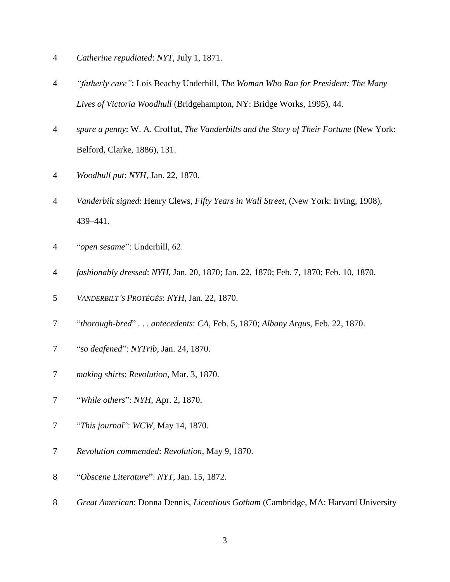- *Catherine repudiated*: *NYT*, July 1, 1871.
- *"fatherly care"*: Lois Beachy Underhill, *The Woman Who Ran for President: The Many Lives of Victoria Woodhull* (Bridgehampton, NY: Bridge Works, 1995), 44.
- *spare a penny*: W. A. Croffut, *The Vanderbilts and the Story of Their Fortune* (New York: Belford, Clarke, 1886), 131.
- *Woodhull put*: *NYH*, Jan. 22, 1870.
- *Vanderbilt signed*: Henry Clews, *Fifty Years in Wall Street*, (New York: Irving, 1908), 439–441.
- "*open sesame*": Underhill, 62.
- *fashionably dressed*: *NYH*, Jan. 20, 1870; Jan. 22, 1870; Feb. 7, 1870; Feb. 10, 1870.
- *VANDERBILT'S PROTÉGÉS*: *NYH*, Jan. 22, 1870.
- "*thorough-bred*" . . . *antecedents*: *CA*, Feb. 5, 1870; *Albany Argu*s, Feb. 22, 1870.
- "*so deafened*": *NYTrib*, Jan. 24, 1870.
- *making shirts*: *Revolution*, Mar. 3, 1870.
- "*While others*": *NYH*, Apr. 2, 1870.
- "*This journal*": *WCW*, May 14, 1870.
- *Revolution commended*: *Revolution*, May 9, 1870.
- "*Obscene Literature*": *NYT*, Jan. 15, 1872.
- *Great American*: Donna Dennis, *Licentious Gotham* (Cambridge, MA: Harvard University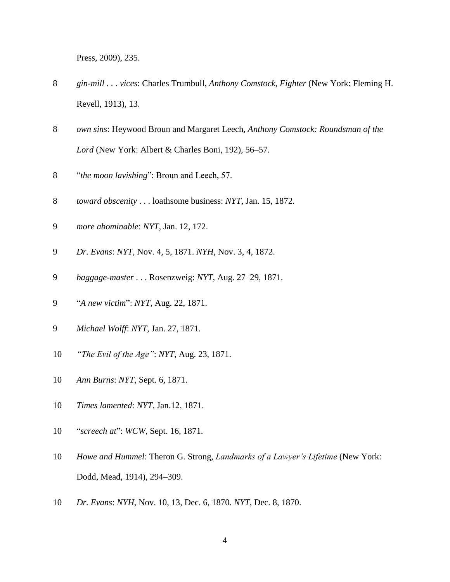Press, 2009), 235.

- *gin-mill . . . vices*: Charles Trumbull, *Anthony Comstock, Fighter* (New York: Fleming H. Revell, 1913), 13.
- *own sins*: Heywood Broun and Margaret Leech, *Anthony Comstock: Roundsman of the Lord* (New York: Albert & Charles Boni, 192), 56–57.
- "*the moon lavishing*": Broun and Leech, 57.
- *toward obscenity* . . . loathsome business: *NYT*, Jan. 15, 1872.
- *more abominable*: *NYT*, Jan. 12, 172.
- *Dr. Evans*: *NYT*, Nov. 4, 5, 1871. *NYH*, Nov. 3, 4, 1872.
- *baggage-master* . . . Rosenzweig: *NYT*, Aug. 27–29, 1871.
- "*A new victim*": *NYT*, Aug. 22, 1871.
- *Michael Wolff*: *NYT*, Jan. 27, 1871.
- *"The Evil of the Age"*: *NYT*, Aug. 23, 1871.
- *Ann Burns*: *NYT*, Sept. 6, 1871.
- *Times lamented*: *NYT*, Jan.12, 1871.
- "*screech at*": *WCW*, Sept. 16, 1871.
- *Howe and Hummel*: Theron G. Strong, *Landmarks of a Lawyer's Lifetime* (New York: Dodd, Mead, 1914), 294–309.
- *Dr. Evans*: *NYH*, Nov. 10, 13, Dec. 6, 1870. *NYT*, Dec. 8, 1870.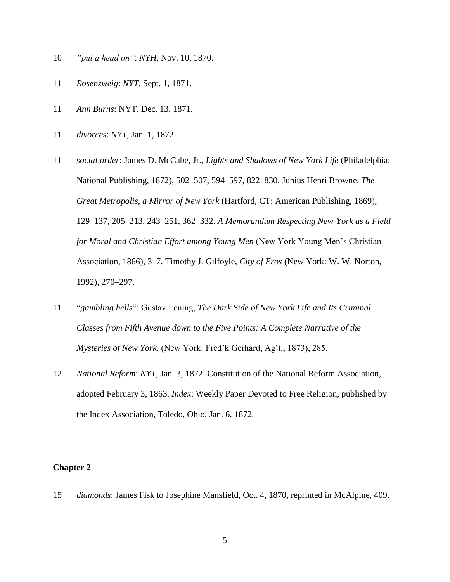- 10 *"put a head on"*: *NYH*, Nov. 10, 1870.
- 11 *Rosenzweig*: *NYT*, Sept. 1, 1871.
- 11 *Ann Burns*: NYT, Dec. 13, 1871.
- 11 *divorces*: *NYT*, Jan. 1, 1872.
- 11 *social order*: James D. McCabe, Jr., *Lights and Shadows of New York Life* (Philadelphia: National Publishing, 1872), 502–507, 594–597, 822–830. Junius Henri Browne, *The Great Metropolis, a Mirror of New York* (Hartford, CT: American Publishing, 1869), 129–137, 205–213, 243–251, 362–332. *A Memorandum Respecting New-York as a Field for Moral and Christian Effort among Young Men* (New York Young Men's Christian Association, 1866), 3–7. Timothy J. Gilfoyle, *City of Eros* (New York: W. W. Norton, 1992), 270–297.
- 11 "*gambling hells*": Gustav Lening, *The Dark Side of New York Life and Its Criminal Classes from Fifth Avenue down to the Five Points: A Complete Narrative of the Mysteries of New York*. (New York: Fred'k Gerhard, Ag't., 1873), 285.
- 12 *National Reform*: *NYT*, Jan. 3, 1872. Constitution of the National Reform Association, adopted February 3, 1863. *Index*: Weekly Paper Devoted to Free Religion, published by the Index Association, Toledo, Ohio, Jan. 6, 1872.

15 *diamonds*: James Fisk to Josephine Mansfield, Oct. 4, 1870, reprinted in McAlpine, 409.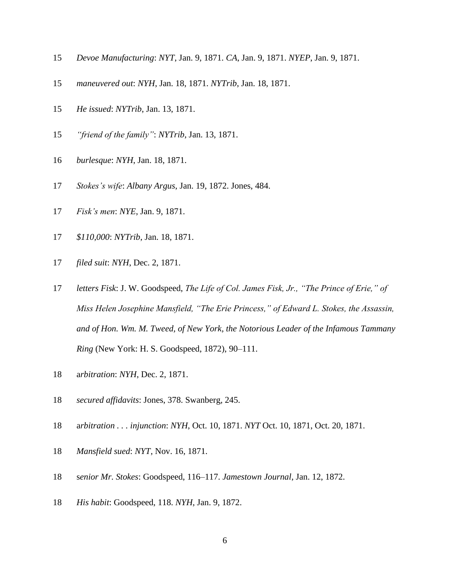- *Devoe Manufacturing*: *NYT*, Jan. 9, 1871. *CA*, Jan. 9, 1871. *NYEP*, Jan. 9, 1871.
- *maneuvered out*: *NYH*, Jan. 18, 1871. *NYTrib*, Jan. 18, 1871.
- *He issued*: *NYTrib*, Jan. 13, 1871.
- *"friend of the family"*: *NYTrib*, Jan. 13, 1871.
- *burlesque*: *NYH*, Jan. 18, 1871.
- *Stokes's wife*: *Albany Argus*, Jan. 19, 1872. Jones, 484.
- *Fisk's men*: *NYE*, Jan. 9, 1871.
- *\$110,000*: *NYTrib*, Jan. 18, 1871.
- *filed suit*: *NYH*, Dec. 2, 1871.
- *letters Fisk*: J. W. Goodspeed, *The Life of Col. James Fisk, Jr., "The Prince of Erie," of Miss Helen Josephine Mansfield, "The Erie Princess," of Edward L. Stokes, the Assassin, and of Hon. Wm. M. Tweed, of New York, the Notorious Leader of the Infamous Tammany Ring* (New York: H. S. Goodspeed, 1872), 90–111.
- a*rbitration*: *NYH*, Dec. 2, 1871.
- *secured affidavits*: Jones, 378. Swanberg, 245.
- a*rbitration . . . injunction*: *NYH*, Oct. 10, 1871. *NYT* Oct. 10, 1871, Oct. 20, 1871.
- *Mansfield sued*: *NYT*, Nov. 16, 1871.
- s*enior Mr. Stokes*: Goodspeed, 116–117. *Jamestown Journal*, Jan. 12, 1872.
- *His habit*: Goodspeed, 118. *NYH*, Jan. 9, 1872.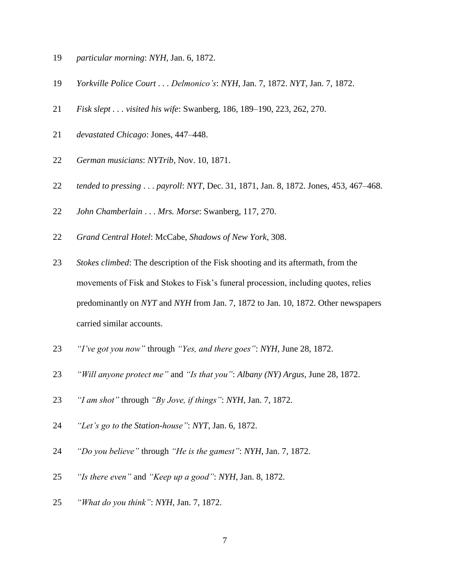- *particular morning*: *NYH*, Jan. 6, 1872.
- *Yorkville Police Court . . . Delmonico's*: *NYH*, Jan. 7, 1872. *NYT*, Jan. 7, 1872.
- *Fisk slept . . . visited his wife*: Swanberg, 186, 189–190, 223, 262, 270.
- *devastated Chicago*: Jones, 447–448.
- *German musicians*: *NYTrib*, Nov. 10, 1871.
- *tended to pressing* . . . *payroll*: *NYT*, Dec. 31, 1871, Jan. 8, 1872. Jones, 453, 467–468.
- *John Chamberlain* . . . *Mrs. Morse*: Swanberg, 117, 270.
- *Grand Central Hotel*: McCabe, *Shadows of New York*, 308.
- *Stokes climbed*: The description of the Fisk shooting and its aftermath, from the movements of Fisk and Stokes to Fisk's funeral procession, including quotes, relies predominantly on *NYT* and *NYH* from Jan. 7, 1872 to Jan. 10, 1872. Other newspapers carried similar accounts.
- *"I've got you now"* through *"Yes, and there goes"*: *NYH*, June 28, 1872.
- *"Will anyone protect me"* and *"Is that you"*: *Albany (NY) Argus*, June 28, 1872.
- *"I am shot"* through *"By Jove, if things"*: *NYH*, Jan. 7, 1872.
- *"Let's go to the Station-house"*: *NYT*, Jan. 6, 1872.
- *"Do you believe"* through *"He is the gamest"*: *NYH*, Jan. 7, 1872.
- *"Is there even"* and *"Keep up a good"*: *NYH*, Jan. 8, 1872.
- *"What do you think"*: *NYH*, Jan. 7, 1872.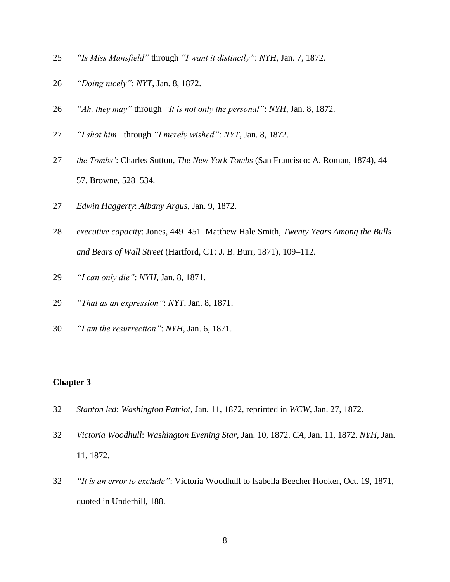- *"Is Miss Mansfield"* through *"I want it distinctly"*: *NYH*, Jan. 7, 1872.
- *"Doing nicely"*: *NYT*, Jan. 8, 1872.
- *"Ah, they may"* through *"It is not only the personal"*: *NYH*, Jan. 8, 1872.
- *"I shot him"* through *"I merely wished"*: *NYT*, Jan. 8, 1872.
- *the Tombs'*: Charles Sutton, *The New York Tombs* (San Francisco: A. Roman, 1874), 44– 57. Browne, 528–534.
- *Edwin Haggerty*: *Albany Argus*, Jan. 9, 1872.
- *executive capacity*: Jones, 449–451. Matthew Hale Smith, *Twenty Years Among the Bulls and Bears of Wall Street* (Hartford, CT: J. B. Burr, 1871), 109–112.
- *"I can only die"*: *NYH*, Jan. 8, 1871.
- *"That as an expression"*: *NYT*, Jan. 8, 1871.
- *"I am the resurrection"*: *NYH*, Jan. 6, 1871.

- *Stanton led*: *Washington Patriot*, Jan. 11, 1872, reprinted in *WCW*, Jan. 27, 1872.
- *Victoria Woodhull*: *Washington Evening Star*, Jan. 10, 1872. *CA*, Jan. 11, 1872. *NYH*, Jan. 11, 1872.
- *"It is an error to exclude"*: Victoria Woodhull to Isabella Beecher Hooker, Oct. 19, 1871, quoted in Underhill, 188.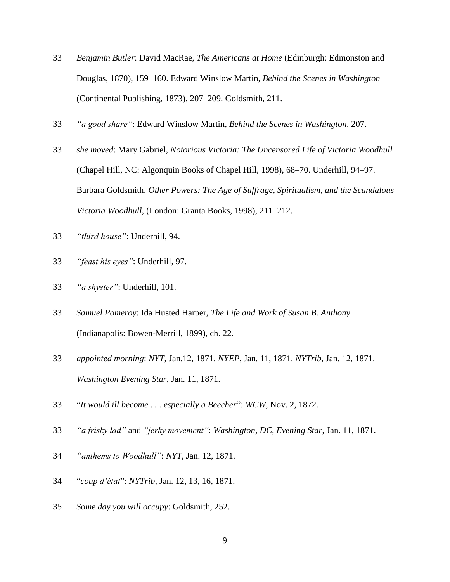- *Benjamin Butler*: David MacRae, *The Americans at Home* (Edinburgh: Edmonston and Douglas, 1870), 159–160. Edward Winslow Martin, *Behind the Scenes in Washington* (Continental Publishing, 1873), 207–209. Goldsmith, 211.
- *"a good share"*: Edward Winslow Martin, *Behind the Scenes in Washington*, 207.
- *she moved*: Mary Gabriel, *Notorious Victoria: The Uncensored Life of Victoria Woodhull* (Chapel Hill, NC: Algonquin Books of Chapel Hill, 1998), 68–70. Underhill, 94–97. Barbara Goldsmith, *Other Powers: The Age of Suffrage, Spiritualism, and the Scandalous Victoria Woodhull*, (London: Granta Books, 1998), 211–212.
- *"third house"*: Underhill, 94.
- *"feast his eyes"*: Underhill, 97.
- *"a shyster"*: Underhill, 101.
- *Samuel Pomeroy*: Ida Husted Harper, *The Life and Work of Susan B. Anthony* (Indianapolis: Bowen-Merrill, 1899), ch. 22.
- *appointed morning*: *NYT*, Jan.12, 1871. *NYEP*, Jan. 11, 1871. *NYTrib*, Jan. 12, 1871. *Washington Evening Star*, Jan. 11, 1871.
- "*It would ill become . . . especially a Beecher*": *WCW*, Nov. 2, 1872.
- *"a frisky lad"* and *"jerky movement"*: *Washington, DC, Evening Star*, Jan. 11, 1871.
- *"anthems to Woodhull"*: *NYT*, Jan. 12, 1871.
- "*coup d'état*": *NYTrib*, Jan. 12, 13, 16, 1871.
- *Some day you will occupy*: Goldsmith, 252.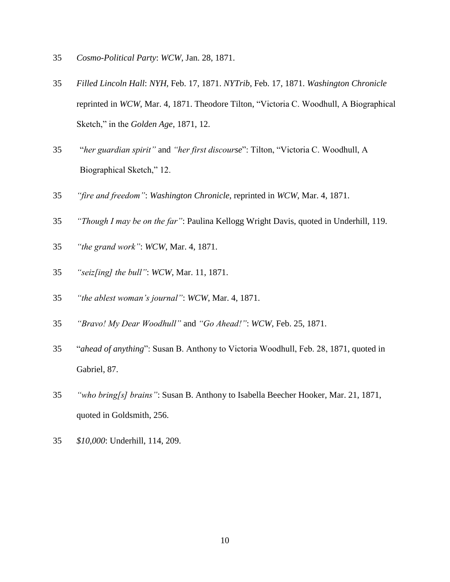- *Cosmo-Political Party*: *WCW*, Jan. 28, 1871.
- *Filled Lincoln Hall*: *NYH*, Feb. 17, 1871. *NYTrib*, Feb. 17, 1871. *Washington Chronicle* reprinted in *WCW*, Mar. 4, 1871. Theodore Tilton, "Victoria C. Woodhull, A Biographical Sketch," in the *Golden Age*, 1871, 12.
- "*her guardian spirit"* and *"her first discourse*": Tilton, "Victoria C. Woodhull, A Biographical Sketch," 12.
- *"fire and freedom"*: *Washington Chronicle*, reprinted in *WCW*, Mar. 4, 1871.
- *"Though I may be on the far"*: Paulina Kellogg Wright Davis, quoted in Underhill, 119.
- *"the grand work"*: *WCW*, Mar. 4, 1871.
- *"seiz[ing] the bull"*: *WCW*, Mar. 11, 1871.
- *"the ablest woman's journal"*: *WCW*, Mar. 4, 1871.
- *"Bravo! My Dear Woodhull"* and *"Go Ahead!"*: *WCW*, Feb. 25, 1871.
- "*ahead of anything*": Susan B. Anthony to Victoria Woodhull, Feb. 28, 1871, quoted in Gabriel, 87.
- *"who bring[s] brains"*: Susan B. Anthony to Isabella Beecher Hooker, Mar. 21, 1871, quoted in Goldsmith, 256.
- *\$10,000*: Underhill, 114, 209.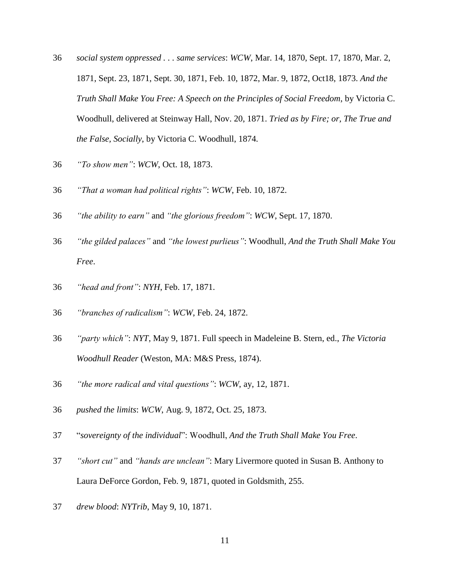- *social system oppressed . . . same services*: *WCW*, Mar. 14, 1870, Sept. 17, 1870, Mar. 2, 1871, Sept. 23, 1871, Sept. 30, 1871, Feb. 10, 1872, Mar. 9, 1872, Oct18, 1873. *And the Truth Shall Make You Free: A Speech on the Principles of Social Freedom*, by Victoria C. Woodhull, delivered at Steinway Hall, Nov. 20, 1871. *Tried as by Fire; or, The True and the False, Socially*, by Victoria C. Woodhull, 1874.
- *"To show men"*: *WCW*, Oct. 18, 1873.
- *"That a woman had political rights"*: *WCW*, Feb. 10, 1872.
- *"the ability to earn"* and *"the glorious freedom"*: *WCW*, Sept. 17, 1870.
- *"the gilded palaces"* and *"the lowest purlieus"*: Woodhull, *And the Truth Shall Make You Free*.
- *"head and front"*: *NYH*, Feb. 17, 1871.
- *"branches of radicalism"*: *WCW*, Feb. 24, 1872.
- *"party which"*: *NYT*, May 9, 1871. Full speech in Madeleine B. Stern, ed., *The Victoria Woodhull Reader* (Weston, MA: M&S Press, 1874).
- *"the more radical and vital questions"*: *WCW*, ay, 12, 1871.
- *pushed the limits*: *WCW*, Aug. 9, 1872, Oct. 25, 1873.
- "*sovereignty of the individual*": Woodhull, *And the Truth Shall Make You Free*.
- *"short cut"* and *"hands are unclean"*: Mary Livermore quoted in Susan B. Anthony to Laura DeForce Gordon, Feb. 9, 1871, quoted in Goldsmith, 255.
- *drew blood*: *NYTrib*, May 9, 10, 1871.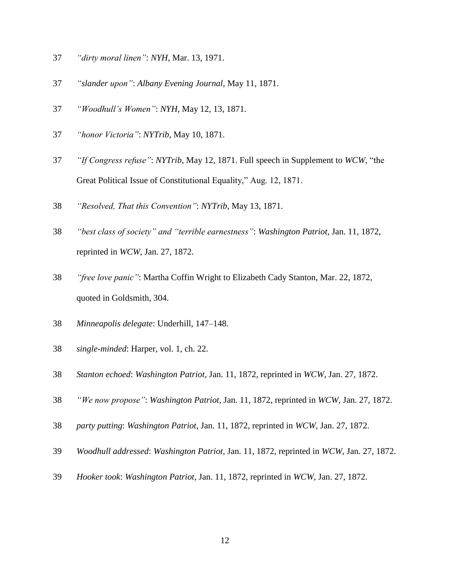- *"dirty moral linen"*: *NYH*, Mar. 13, 1971.
- *"slander upon"*: *Albany Evening Journal*, May 11, 1871.
- *"Woodhull's Women"*: *NYH*, May 12, 13, 1871.
- *"honor Victoria"*: *NYTrib*, May 10, 1871.
- *"If Congress refuse"*: *NYTrib*, May 12, 1871. Full speech in Supplement to *WCW*, "the Great Political Issue of Constitutional Equality," Aug. 12, 1871.
- *"Resolved, That this Convention"*: *NYTrib*, May 13, 1871.
- *"best class of society" and "terrible earnestness"*: *Washington Patriot*, Jan. 11, 1872, reprinted in *WCW*, Jan. 27, 1872.
- *"free love panic"*: Martha Coffin Wright to Elizabeth Cady Stanton, Mar. 22, 1872, quoted in Goldsmith, 304.
- *Minneapolis delegate*: Underhill, 147–148.
- *single-minded*: Harper, vol. 1, ch. 22.
- *Stanton echoed*: *Washington Patriot*, Jan. 11, 1872, reprinted in *WCW*, Jan. 27, 1872.
- *"We now propose"*: *Washington Patriot*, Jan. 11, 1872, reprinted in *WCW*, Jan. 27, 1872.
- *party putting*: *Washington Patriot*, Jan. 11, 1872, reprinted in *WCW*, Jan. 27, 1872.
- *Woodhull addressed*: *Washington Patriot*, Jan. 11, 1872, reprinted in *WCW*, Jan. 27, 1872.
- *Hooker took*: *Washington Patriot*, Jan. 11, 1872, reprinted in *WCW*, Jan. 27, 1872.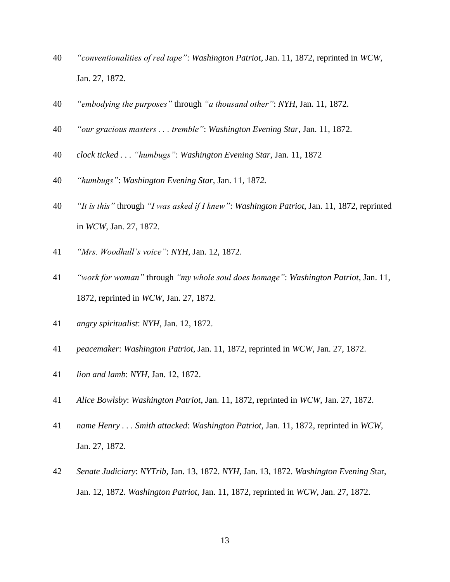- *"conventionalities of red tape"*: *Washington Patriot*, Jan. 11, 1872, reprinted in *WCW*, Jan. 27, 1872.
- *"embodying the purposes"* through *"a thousand other"*: *NYH*, Jan. 11, 1872.
- *"our gracious masters . . . tremble"*: *Washington Evening Star*, Jan. 11, 1872.
- *clock ticked . . . "humbugs"*: *Washington Evening Star*, Jan. 11, 1872
- *"humbugs"*: *Washington Evening Star*, Jan. 11, 187*2.*
- *"It is this"* through *"I was asked if I knew"*: *Washington Patriot*, Jan. 11, 1872, reprinted in *WCW*, Jan. 27, 1872.
- *"Mrs. Woodhull's voice"*: *NYH*, Jan. 12, 1872.
- *"work for woman"* through *"my whole soul does homage"*: *Washington Patriot*, Jan. 11, 1872, reprinted in *WCW*, Jan. 27, 1872.
- *angry spiritualist*: *NYH*, Jan. 12, 1872.
- *peacemaker*: *Washington Patriot*, Jan. 11, 1872, reprinted in *WCW*, Jan. 27, 1872.
- *lion and lamb*: *NYH*, Jan. 12, 1872.
- *Alice Bowlsby*: *Washington Patriot*, Jan. 11, 1872, reprinted in *WCW*, Jan. 27, 1872.
- *name Henry . . . Smith attacked*: *Washington Patriot*, Jan. 11, 1872, reprinted in *WCW*, Jan. 27, 1872.
- *Senate Judiciary*: *NYTrib*, Jan. 13, 1872. *NYH*, Jan. 13, 1872. *Washington Evening S*tar, Jan. 12, 1872. *Washington Patriot*, Jan. 11, 1872, reprinted in *WCW*, Jan. 27, 1872.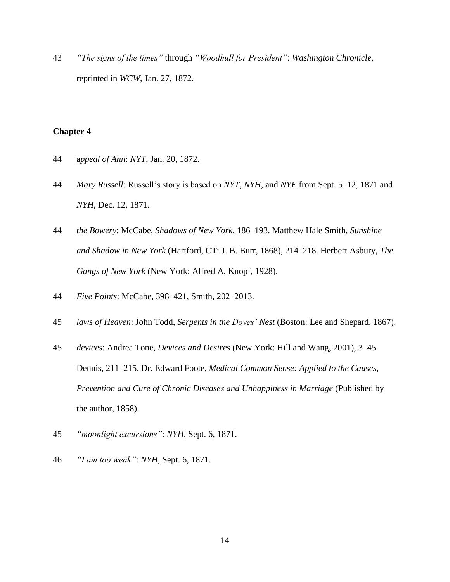43 *"The signs of the times"* through *"Woodhull for President"*: *Washington Chronicle*, reprinted in *WCW*, Jan. 27, 1872.

- 44 a*ppeal of Ann*: *NYT*, Jan. 20, 1872.
- 44 *Mary Russell*: Russell's story is based on *NYT*, *NYH*, and *NYE* from Sept. 5–12, 1871 and *NYH*, Dec. 12, 1871.
- 44 *the Bowery*: McCabe, *Shadows of New York*, 186–193. Matthew Hale Smith*, Sunshine and Shadow in New York* (Hartford, CT: J. B. Burr, 1868), 214–218. Herbert Asbury, *The Gangs of New York* (New York: Alfred A. Knopf, 1928).
- 44 *Five Points*: McCabe, 398–421, Smith, 202–2013.
- 45 *laws of Heaven*: John Todd, *Serpents in the Doves' Nest* (Boston: Lee and Shepard, 1867).
- 45 *devices*: Andrea Tone, *Devices and Desires* (New York: Hill and Wang, 2001), 3–45. Dennis, 211–215. Dr. Edward Foote, *Medical Common Sense: Applied to the Causes, Prevention and Cure of Chronic Diseases and Unhappiness in Marriage* (Published by the author, 1858).
- 45 *"moonlight excursions"*: *NYH*, Sept. 6, 1871.
- 46 *"I am too weak"*: *NYH*, Sept. 6, 1871.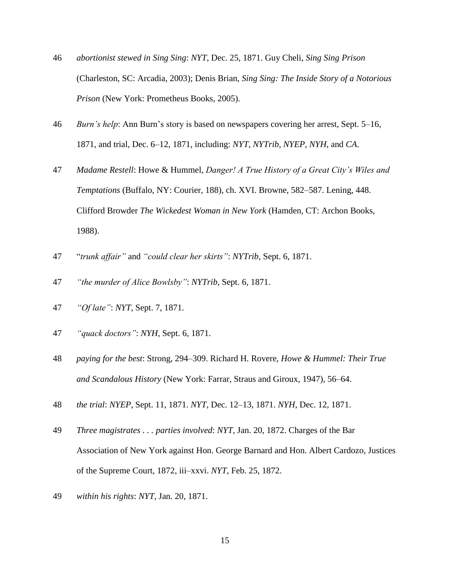- 46 *abortionist stewed in Sing Sing*: *NYT*, Dec. 25, 1871. Guy Cheli, *Sing Sing Prison* (Charleston, SC: Arcadia, 2003); Denis Brian, *Sing Sing: The Inside Story of a Notorious Prison* (New York: Prometheus Books, 2005).
- 46 *Burn's help*: Ann Burn's story is based on newspapers covering her arrest, Sept. 5–16, 1871, and trial, Dec. 6–12, 1871, including: *NYT*, *NYTrib*, *NYEP*, *NYH*, and *CA*.
- 47 *Madame Restell*: Howe & Hummel, *Danger! A True History of a Great City's Wiles and Temptations* (Buffalo, NY: Courier, 188), ch. XVI. Browne, 582–587. Lening, 448. Clifford Browder *The Wickedest Woman in New York* (Hamden, CT: Archon Books, 1988).
- 47 "*trunk affair"* and *"could clear her skirts"*: *NYTrib*, Sept. 6, 1871.
- 47 *"the murder of Alice Bowlsby"*: *NYTrib*, Sept. 6, 1871.
- 47 *"Of late"*: *NYT*, Sept. 7, 1871.
- 47 *"quack doctors"*: *NYH*, Sept. 6, 1871.
- 48 *paying for the best*: Strong, 294–309. Richard H. Rovere, *Howe & Hummel: Their True and Scandalous History* (New York: Farrar, Straus and Giroux, 1947), 56–64.
- 48 *the trial*: *NYEP*, Sept. 11, 1871. *NYT*, Dec. 12–13, 1871. *NYH*, Dec. 12, 1871.
- 49 *Three magistrates . . . parties involved*: *NYT*, Jan. 20, 1872. Charges of the Bar Association of New York against Hon. George Barnard and Hon. Albert Cardozo, Justices of the Supreme Court, 1872, iii–xxvi. *NYT*, Feb. 25, 1872.
- 49 *within his rights*: *NYT*, Jan. 20, 1871.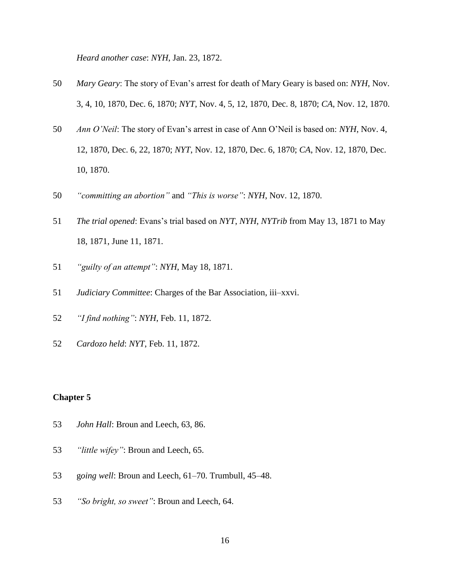*Heard another case*: *NYH*, Jan. 23, 1872.

- *Mary Geary*: The story of Evan's arrest for death of Mary Geary is based on: *NYH*, Nov. 3, 4, 10, 1870, Dec. 6, 1870; *NYT*, Nov. 4, 5, 12, 1870, Dec. 8, 1870; *CA*, Nov. 12, 1870.
- *Ann O'Neil*: The story of Evan's arrest in case of Ann O'Neil is based on: *NYH*, Nov. 4, 12, 1870, Dec. 6, 22, 1870; *NYT*, Nov. 12, 1870, Dec. 6, 1870; *CA*, Nov. 12, 1870, Dec. 10, 1870.
- *"committing an abortion"* and *"This is worse"*: *NYH*, Nov. 12, 1870.
- *The trial opened*: Evans's trial based on *NYT*, *NYH*, *NYTrib* from May 13, 1871 to May 18, 1871, June 11, 1871.
- *"guilty of an attempt"*: *NYH*, May 18, 1871.
- *Judiciary Committee*: Charges of the Bar Association, iii–xxvi.
- *"I find nothing"*: *NYH*, Feb. 11, 1872.
- *Cardozo held*: *NYT*, Feb. 11, 1872.

- *John Hall*: Broun and Leech, 63, 86.
- *"little wifey"*: Broun and Leech, 65.
- g*oing well*: Broun and Leech, 61–70. Trumbull, 45–48.
- *"So bright, so sweet"*: Broun and Leech, 64.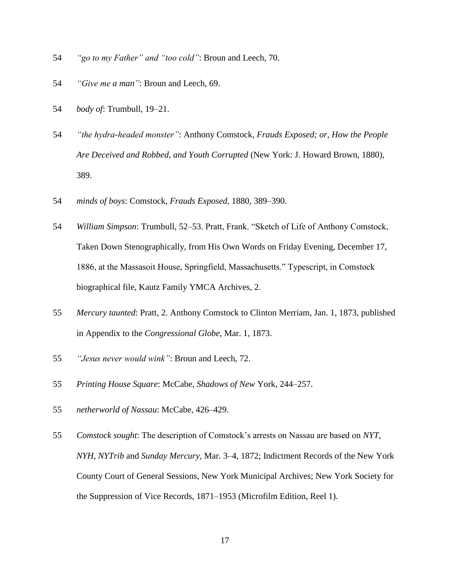- 54 *"go to my Father" and "too cold"*: Broun and Leech, 70.
- 54 *"Give me a man"*: Broun and Leech, 69.
- 54 *body of*: Trumbull, 19–21.
- 54 *"the hydra-headed monster"*: Anthony Comstock, *Frauds Exposed; or, How the People Are Deceived and Robbed, and Youth Corrupted* (New York: J. Howard Brown, 1880), 389.
- 54 *minds of boys*: Comstock, *Frauds Exposed*, 1880, 389–390.
- 54 *William Simpson*: Trumbull, 52–53. Pratt, Frank. "Sketch of Life of Anthony Comstock, Taken Down Stenographically, from His Own Words on Friday Evening, December 17, 1886, at the Massasoit House, Springfield, Massachusetts." Typescript, in Comstock biographical file, Kautz Family YMCA Archives, 2.
- 55 *Mercury taunted*: Pratt, 2. Anthony Comstock to Clinton Merriam, Jan. 1, 1873, published in Appendix to the *Congressional Globe*, Mar. 1, 1873.
- 55 *"Jesus never would wink"*: Broun and Leech, 72.
- 55 *Printing House Square*: McCabe, *Shadows of New* York, 244–257.
- 55 *netherworld of Nassau*: McCabe, 426–429.
- 55 *Comstock sought*: The description of Comstock's arrests on Nassau are based on *NYT*, *NYH*, *NYTrib* and *Sunday Mercury*, Mar. 3–4, 1872; Indictment Records of the New York County Court of General Sessions, New York Municipal Archives; New York Society for the Suppression of Vice Records, 1871–1953 (Microfilm Edition, Reel 1).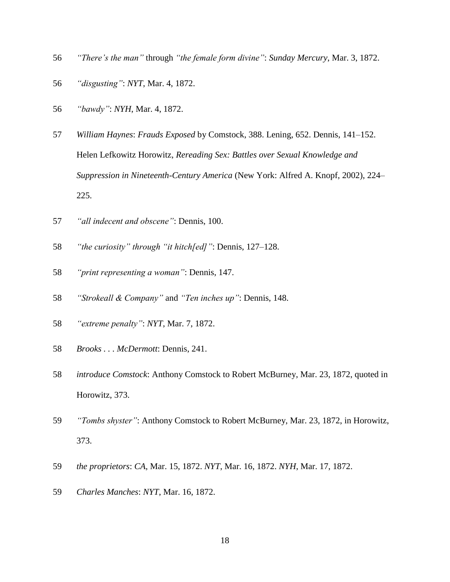- *"There's the man"* through *"the female form divine"*: *Sunday Mercury*, Mar. 3, 1872.
- *"disgusting"*: *NYT*, Mar. 4, 1872.
- *"bawdy"*: *NYH*, Mar. 4, 1872.
- *William Haynes*: *Frauds Exposed* by Comstock, 388. Lening, 652. Dennis, 141–152. Helen Lefkowitz Horowitz, *Rereading Sex: Battles over Sexual Knowledge and Suppression in Nineteenth-Century America* (New York: Alfred A. Knopf, 2002), 224– 225.
- *"all indecent and obscene"*: Dennis, 100.
- *"the curiosity" through "it hitch[ed]"*: Dennis, 127–128.
- *"print representing a woman"*: Dennis, 147.
- *"Strokeall & Company"* and *"Ten inches up"*: Dennis, 148.
- *"extreme penalty"*: *NYT*, Mar. 7, 1872.
- *Brooks . . . McDermott*: Dennis, 241.
- *introduce Comstock*: Anthony Comstock to Robert McBurney, Mar. 23, 1872, quoted in Horowitz, 373.
- *"Tombs shyster"*: Anthony Comstock to Robert McBurney, Mar. 23, 1872, in Horowitz, 373.
- *the proprietors*: *CA*, Mar. 15, 1872. *NYT*, Mar. 16, 1872. *NYH*, Mar. 17, 1872.
- *Charles Manches*: *NYT*, Mar. 16, 1872.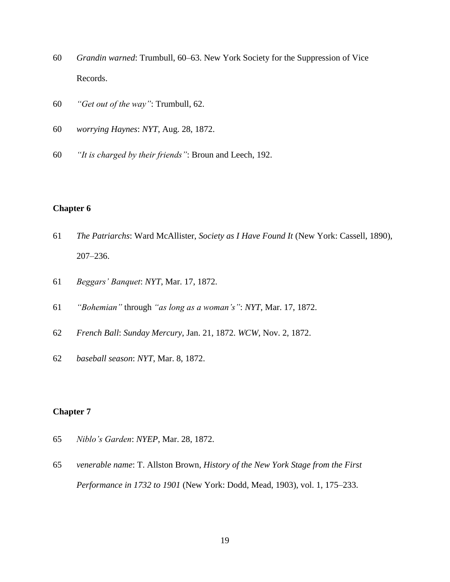- *Grandin warned*: Trumbull, 60–63. New York Society for the Suppression of Vice Records.
- *"Get out of the way"*: Trumbull, 62.
- *worrying Haynes*: *NYT*, Aug. 28, 1872.
- *"It is charged by their friends"*: Broun and Leech, 192.

- *The Patriarchs*: Ward McAllister, *Society as I Have Found It* (New York: Cassell, 1890), 207–236.
- *Beggars' Banquet*: *NYT*, Mar. 17, 1872.
- *"Bohemian"* through *"as long as a woman's"*: *NYT*, Mar. 17, 1872.
- *French Ball*: *Sunday Mercury*, Jan. 21, 1872. *WCW*, Nov. 2, 1872.
- *baseball season*: *NYT*, Mar. 8, 1872.

- *Niblo's Garden*: *NYEP*, Mar. 28, 1872.
- *venerable name*: T. Allston Brown, *History of the New York Stage from the First Performance in 1732 to 1901* (New York: Dodd, Mead, 1903), vol. 1, 175–233.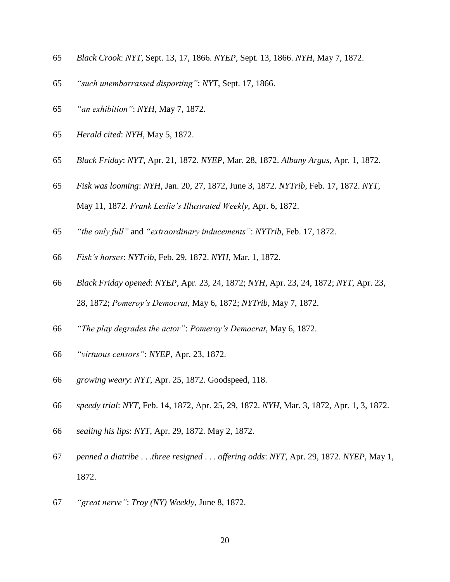- *Black Crook*: *NYT*, Sept. 13, 17, 1866. *NYEP*, Sept. 13, 1866. *NYH*, May 7, 1872.
- *"such unembarrassed disporting"*: *NYT*, Sept. 17, 1866.
- *"an exhibition"*: *NYH*, May 7, 1872.
- *Herald cited*: *NYH*, May 5, 1872.
- *Black Friday*: *NYT*, Apr. 21, 1872. *NYEP*, Mar. 28, 1872. *Albany Argus*, Apr. 1, 1872.
- *Fisk was looming*: *NYH*, Jan. 20, 27, 1872, June 3, 1872. *NYTrib*, Feb. 17, 1872. *NYT*, May 11, 1872. *Frank Leslie's Illustrated Weekly*, Apr. 6, 1872.
- *"the only full"* and *"extraordinary inducements"*: *NYTrib*, Feb. 17, 1872.
- *Fisk's horses*: *NYTrib*, Feb. 29, 1872. *NYH*, Mar. 1, 1872.
- *Black Friday opened*: *NYEP*, Apr. 23, 24, 1872; *NYH*, Apr. 23, 24, 1872; *NYT*, Apr. 23, 28, 1872; *Pomeroy's Democrat*, May 6, 1872; *NYTrib*, May 7, 1872.
- *"The play degrades the actor"*: *Pomeroy's Democrat*, May 6, 1872.
- *"virtuous censors"*: *NYEP*, Apr. 23, 1872.
- *growing weary*: *NYT*, Apr. 25, 1872. Goodspeed, 118.
- *speedy trial*: *NYT*, Feb. 14, 1872, Apr. 25, 29, 1872. *NYH*, Mar. 3, 1872, Apr. 1, 3, 1872.
- *sealing his lips*: *NYT*, Apr. 29, 1872. May 2, 1872.
- *penned a diatribe* . . .*three resigned* . . . *offering odds*: *NYT*, Apr. 29, 1872. *NYEP*, May 1, 1872.
- *"great nerve"*: *Troy (NY) Weekly*, June 8, 1872.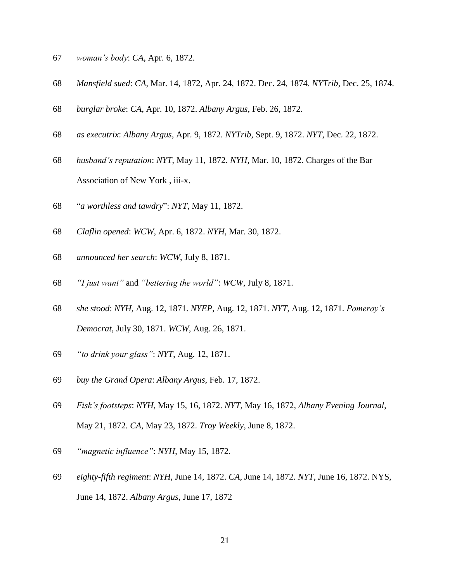- *woman's body*: *CA*, Apr. 6, 1872.
- *Mansfield sued*: *CA*, Mar. 14, 1872, Apr. 24, 1872. Dec. 24, 1874. *NYTrib*, Dec. 25, 1874.
- *burglar broke*: *CA*, Apr. 10, 1872. *Albany Argus*, Feb. 26, 1872.
- *as executrix*: *Albany Argus*, Apr. 9, 1872. *NYTrib*, Sept. 9, 1872. *NYT*, Dec. 22, 1872.
- *husband's reputation*: *NYT*, May 11, 1872. *NYH*, Mar. 10, 1872. Charges of the Bar Association of New York , iii-x.
- "*a worthless and tawdry*": *NYT*, May 11, 1872.
- *Claflin opened*: *WCW*, Apr. 6, 1872. *NYH*, Mar. 30, 1872.
- *announced her search*: *WCW*, July 8, 1871.
- *"I just want"* and *"bettering the world"*: *WCW*, July 8, 1871.
- *she stood*: *NYH*, Aug. 12, 1871. *NYEP*, Aug. 12, 1871. *NYT*, Aug. 12, 1871. *Pomeroy's Democrat*, July 30, 1871. *WCW*, Aug. 26, 1871.
- *"to drink your glass"*: *NYT*, Aug. 12, 1871.
- *buy the Grand Opera*: *Albany Argus*, Feb. 17, 1872.
- *Fisk's footsteps*: *NYH*, May 15, 16, 1872. *NYT*, May 16, 1872, *Albany Evening Journal*, May 21, 1872. *CA*, May 23, 1872. *Troy Weekly*, June 8, 1872.
- *"magnetic influence"*: *NYH*, May 15, 1872.
- *eighty-fifth regiment*: *NYH*, June 14, 1872. *CA*, June 14, 1872. *NYT*, June 16, 1872. NYS, June 14, 1872. *Albany Argus*, June 17, 1872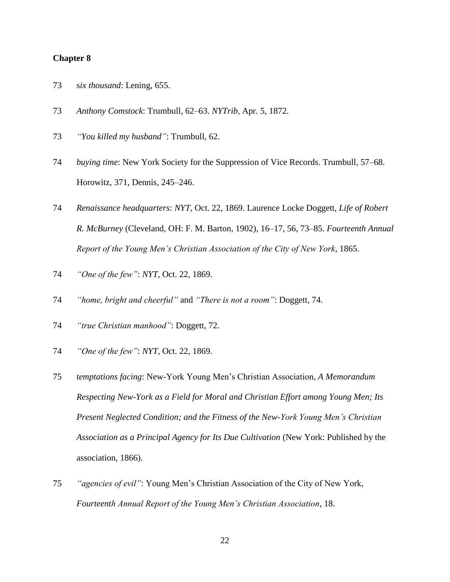- 73 s*ix thousand*: Lening, 655.
- 73 *Anthony Comstock*: Trumbull, 62–63. *NYTrib*, Apr. 5, 1872.
- 73 *"You killed my husband"*: Trumbull, 62.
- 74 *buying time*: New York Society for the Suppression of Vice Records. Trumbull, 57–68. Horowitz, 371, Dennis, 245–246.
- 74 *Renaissance headquarters*: *NYT*, Oct. 22, 1869. Laurence Locke Doggett, *Life of Robert R. McBurney* (Cleveland, OH: F. M. Barton, 1902), 16–17, 56, 73–85. *Fourteenth Annual Report of the Young Men's Christian Association of the City of New York*, 1865.
- 74 *"One of the few"*: *NYT*, Oct. 22, 1869.
- 74 *"home, bright and cheerful"* and *"There is not a room"*: Doggett, 74.
- 74 *"true Christian manhood"*: Doggett, 72.
- 74 *"One of the few"*: *NYT*, Oct. 22, 1869.
- 75 *temptations facing*: New-York Young Men's Christian Association, *A Memorandum Respecting New-York as a Field for Moral and Christian Effort among Young Men; Its Present Neglected Condition; and the Fitness of the New-York Young Men's Christian Association as a Principal Agency for Its Due Cultivation* (New York: Published by the association, 1866).
- 75 *"agencies of evil"*: Young Men's Christian Association of the City of New York, *Fourteenth Annual Report of the Young Men's Christian Association*, 18.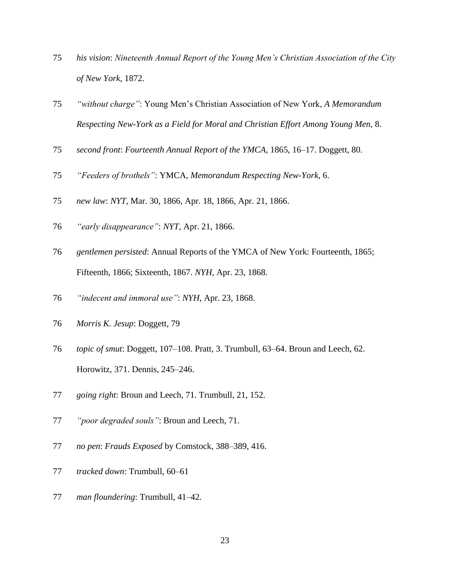- *his vision*: *Nineteenth Annual Report of the Young Men's Christian Association of the City of New York*, 1872.
- *"without charge"*: Young Men's Christian Association of New York, *A Memorandum Respecting New-York as a Field for Moral and Christian Effort Among Young Men*, 8.
- *second front*: *Fourteenth Annual Report of the YMCA*, 1865, 16–17. Doggett, 80.
- *"Feeders of brothels"*: YMCA, *Memorandum Respecting New-York*, 6.
- *new law*: *NYT*, Mar. 30, 1866, Apr. 18, 1866, Apr. 21, 1866.
- *"early disappearance"*: *NYT*, Apr. 21, 1866.
- *gentlemen persisted*: Annual Reports of the YMCA of New York: Fourteenth, 1865; Fifteenth, 1866; Sixteenth, 1867. *NYH*, Apr. 23, 1868.
- *"indecent and immoral use"*: *NYH*, Apr. 23, 1868.
- *Morris K. Jesup*: Doggett, 79
- *topic of smut*: Doggett, 107–108. Pratt, 3. Trumbull, 63–64. Broun and Leech, 62. Horowitz, 371. Dennis, 245–246.
- *going right*: Broun and Leech, 71. Trumbull, 21, 152.
- *"poor degraded souls"*: Broun and Leech, 71.
- *no pen*: *Frauds Exposed* by Comstock, 388–389, 416.
- *tracked down*: Trumbull, 60–61
- *man floundering*: Trumbull, 41–42.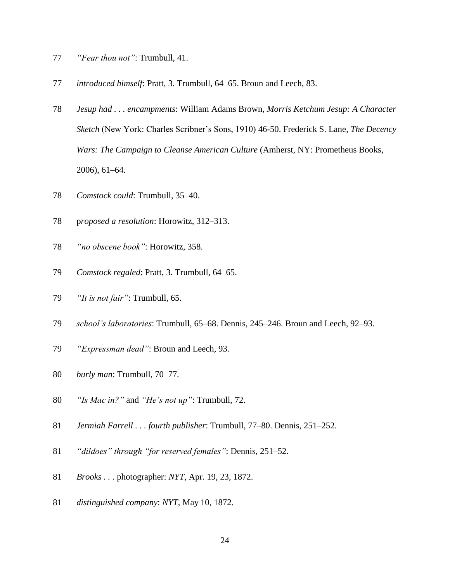- *"Fear thou not"*: Trumbull, 41.
- *introduced himself*: Pratt, 3. Trumbull, 64–65. Broun and Leech, 83.
- *Jesup had . . . encampments*: William Adams Brown, *Morris Ketchum Jesup: A Character Sketch* (New York: Charles Scribner's Sons, 1910) 46-50. Frederick S. Lane, *The Decency Wars: The Campaign to Cleanse American Culture* (Amherst, NY: Prometheus Books, 2006), 61–64.
- *Comstock could*: Trumbull, 35–40.
- p*roposed a resolution*: Horowitz, 312–313.
- *"no obscene book"*: Horowitz, 358.
- *Comstock regaled*: Pratt, 3. Trumbull, 64–65.
- *"It is not fair"*: Trumbull*,* 65.
- *school's laboratories*: Trumbull, 65–68. Dennis, 245–246. Broun and Leech, 92–93.
- *"Expressman dead"*: Broun and Leech, 93.
- *burly man*: Trumbull, 70–77.
- *"Is Mac in?"* and *"He's not up"*: Trumbull, 72.
- *Jermiah Farrell . . . fourth publisher*: Trumbull, 77–80. Dennis, 251–252.
- *"dildoes" through "for reserved females"*: Dennis, 251–52.
- *Brooks . . .* photographer: *NYT*, Apr. 19, 23, 1872.
- *distinguished company*: *NYT*, May 10, 1872.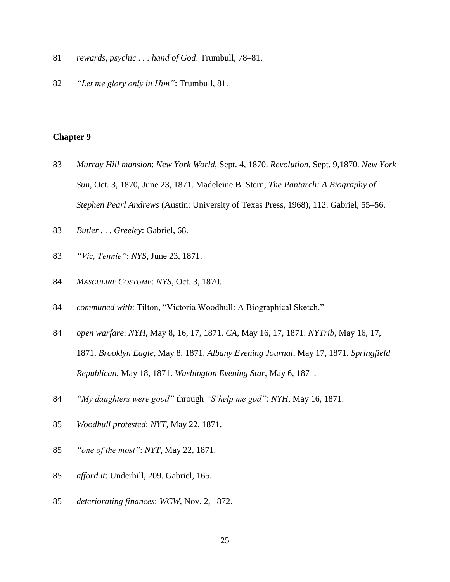- *rewards, psychic . . . hand of God*: Trumbull, 78–81.
- *"Let me glory only in Him"*: Trumbull, 81.

- *Murray Hill mansion*: *New York World*, Sept. 4, 1870. *Revolution*, Sept. 9,1870. *New York Sun*, Oct. 3, 1870, June 23, 1871. Madeleine B. Stern, *The Pantarch: A Biography of Stephen Pearl Andrews* (Austin: University of Texas Press, 1968), 112. Gabriel, 55–56.
- *Butler . . . Greeley*: Gabriel, 68.
- *"Vic, Tennie"*: *NYS*, June 23, 1871.
- *MASCULINE COSTUME*: *NYS*, Oct. 3, 1870.
- *communed with*: Tilton, "Victoria Woodhull: A Biographical Sketch."
- *open warfare*: *NYH*, May 8, 16, 17, 1871. *CA*, May 16, 17, 1871. *NYTrib*, May 16, 17, 1871. *Brooklyn Eagle*, May 8, 1871. *Albany Evening Journal*, May 17, 1871. *Springfield Republican*, May 18, 1871. *Washington Evening Star*, May 6, 1871.
- *"My daughters were good"* through *"S'help me god"*: *NYH*, May 16, 1871.
- *Woodhull protested*: *NYT*, May 22, 1871.
- *"one of the most"*: *NYT*, May 22, 1871.
- *afford it*: Underhill, 209. Gabriel, 165.
- *deteriorating finances*: *WCW*, Nov. 2, 1872.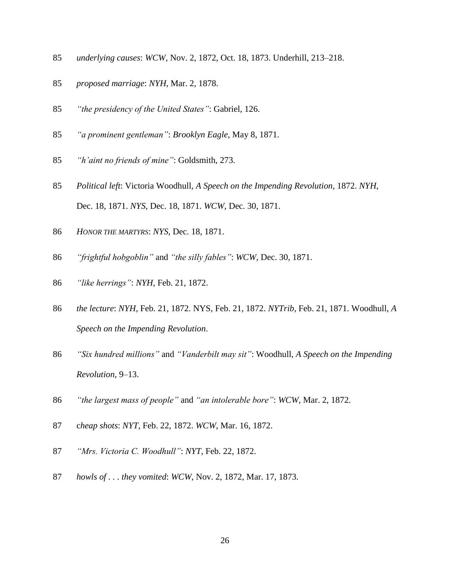- *underlying causes*: *WCW*, Nov. 2, 1872, Oct. 18, 1873. Underhill, 213–218.
- *proposed marriage*: *NYH*, Mar. 2, 1878.
- *"the presidency of the United States"*: Gabriel, 126.
- *"a prominent gentleman"*: *Brooklyn Eagle*, May 8, 1871.
- *"h'aint no friends of mine"*: Goldsmith, 273.
- *Political left*: Victoria Woodhull, *A Speech on the Impending Revolution*, 1872. *NYH*, Dec. 18, 1871. *NYS*, Dec. 18, 1871. *WCW*, Dec. 30, 1871.
- *HONOR THE MARTYRS*: *NYS*, Dec. 18, 1871.
- *"frightful hobgoblin"* and *"the silly fables"*: *WCW*, Dec. 30, 1871.
- *"like herrings"*: *NYH*, Feb. 21, 1872.
- *the lecture*: *NYH*, Feb. 21, 1872. NYS, Feb. 21, 1872. *NYTrib*, Feb. 21, 1871. Woodhull, *A Speech on the Impending Revolution*.
- *"Six hundred millions"* and *"Vanderbilt may sit"*: Woodhull, *A Speech on the Impending Revolution*, 9–13.
- *"the largest mass of people"* and *"an intolerable bore"*: *WCW*, Mar. 2, 1872.
- c*heap shots*: *NYT*, Feb. 22, 1872. *WCW*, Mar. 16, 1872.
- *"Mrs. Victoria C. Woodhull"*: *NYT*, Feb. 22, 1872.
- *howls of . . . they vomited*: *WCW*, Nov. 2, 1872, Mar. 17, 1873.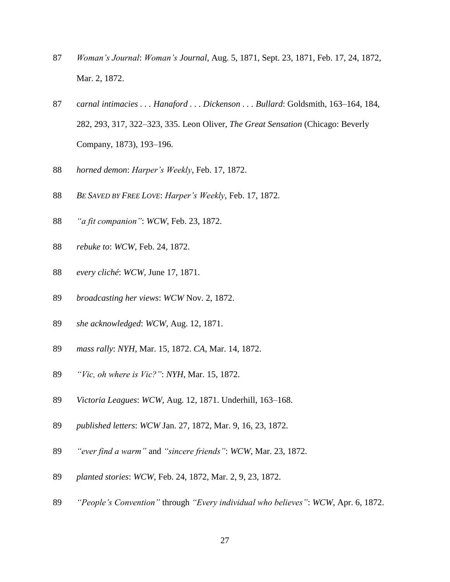- *Woman's Journal*: *Woman's Journal*, Aug. 5, 1871, Sept. 23, 1871, Feb. 17, 24, 1872, Mar. 2, 1872.
- c*arnal intimacies . . . Hanaford . . . Dickenson . . . Bullard*: Goldsmith, 163–164, 184, 282, 293, 317, 322–323, 335. Leon Oliver, *The Great Sensation* (Chicago: Beverly Company, 1873), 193–196.
- *horned demon*: *Harper's Weekly*, Feb. 17, 1872.
- *BE SAVED BY FREE LOVE*: *Harper's Weekly*, Feb. 17, 1872.
- *"a fit companion"*: *WCW*, Feb. 23, 1872.
- *rebuke to*: *WCW*, Feb. 24, 1872.
- *every cliché*: *WCW*, June 17, 1871.
- *broadcasting her views*: *WCW* Nov. 2, 1872.
- *she acknowledged*: *WCW*, Aug. 12, 1871.
- *mass rally*: *NYH*, Mar. 15, 1872. *CA*, Mar. 14, 1872.
- *"Vic, oh where is Vic?"*: *NYH*, Mar. 15, 1872.
- *Victoria Leagues*: *WCW*, Aug. 12, 1871. Underhill, 163–168.
- *published letters*: *WCW* Jan. 27, 1872, Mar. 9, 16, 23, 1872.
- *"ever find a warm"* and *"sincere friends"*: *WCW*, Mar. 23, 1872.
- *planted stories*: *WCW*, Feb. 24, 1872, Mar. 2, 9, 23, 1872.
- *"People's Convention"* through *"Every individual who believes"*: *WCW*, Apr. 6, 1872.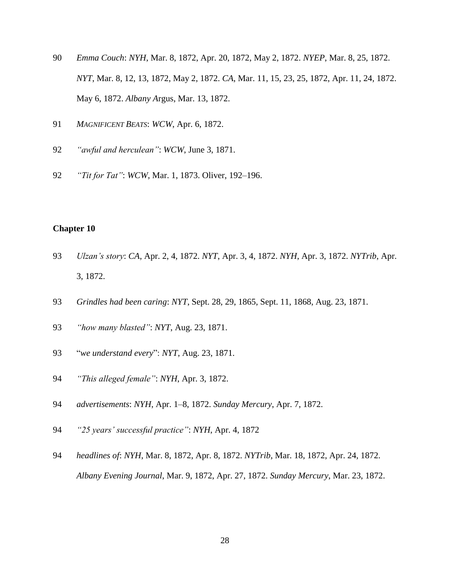- *Emma Couch*: *NYH*, Mar. 8, 1872, Apr. 20, 1872, May 2, 1872. *NYEP*, Mar. 8, 25, 1872. *NYT*, Mar. 8, 12, 13, 1872, May 2, 1872. *CA*, Mar. 11, 15, 23, 25, 1872, Apr. 11, 24, 1872. May 6, 1872. *Albany A*rgus, Mar. 13, 1872.
- *MAGNIFICENT BEATS*: *WCW*, Apr. 6, 1872.
- *"awful and herculean"*: *WCW*, June 3, 1871.
- *"Tit for Tat"*: *WCW*, Mar. 1, 1873. Oliver, 192–196.

- *Ulzan's story*: *CA*, Apr. 2, 4, 1872. *NYT*, Apr. 3, 4, 1872. *NYH*, Apr. 3, 1872. *NYTrib*, Apr. 3, 1872.
- *Grindles had been caring*: *NYT*, Sept. 28, 29, 1865, Sept. 11, 1868, Aug. 23, 1871.
- *"how many blasted"*: *NYT*, Aug. 23, 1871.
- "*we understand every*": *NYT*, Aug. 23, 1871.
- *"This alleged female"*: *NYH*, Apr. 3, 1872.
- *advertisements*: *NYH*, Apr. 1–8, 1872. *Sunday Mercury*, Apr. 7, 1872.
- *"25 years' successful practice"*: *NYH*, Apr. 4, 1872
- *headlines of*: *NYH*, Mar. 8, 1872, Apr. 8, 1872. *NYTrib*, Mar. 18, 1872, Apr. 24, 1872. *Albany Evening Journal*, Mar. 9, 1872, Apr. 27, 1872. *Sunday Mercury*, Mar. 23, 1872.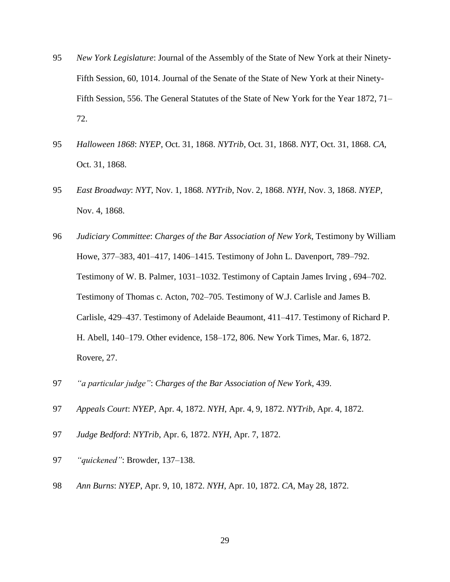- 95 *New York Legislature*: Journal of the Assembly of the State of New York at their Ninety-Fifth Session, 60, 1014. Journal of the Senate of the State of New York at their Ninety-Fifth Session, 556. The General Statutes of the State of New York for the Year 1872, 71– 72.
- 95 *Halloween 1868*: *NYEP*, Oct. 31, 1868. *NYTrib*, Oct. 31, 1868. *NYT*, Oct. 31, 1868. *CA*, Oct. 31, 1868.
- 95 *East Broadway*: *NYT*, Nov. 1, 1868. *NYTrib*, Nov. 2, 1868. *NYH*, Nov. 3, 1868. *NYEP*, Nov. 4, 1868.
- 96 *Judiciary Committee*: *Charges of the Bar Association of New York*, Testimony by William Howe, 377–383, 401–417, 1406–1415. Testimony of John L. Davenport, 789–792. Testimony of W. B. Palmer, 1031–1032. Testimony of Captain James Irving , 694–702. Testimony of Thomas c. Acton, 702–705. Testimony of W.J. Carlisle and James B. Carlisle, 429–437. Testimony of Adelaide Beaumont, 411–417. Testimony of Richard P. H. Abell, 140–179. Other evidence, 158–172, 806. New York Times, Mar. 6, 1872. Rovere, 27.
- 97 *"a particular judge"*: *Charges of the Bar Association of New York*, 439.
- 97 *Appeals Court*: *NYEP*, Apr. 4, 1872. *NYH*, Apr. 4, 9, 1872. *NYTrib*, Apr. 4, 1872.
- 97 *Judge Bedford*: *NYTrib*, Apr. 6, 1872. *NYH*, Apr. 7, 1872.
- 97 *"quickened"*: Browder, 137–138.
- 98 *Ann Burns*: *NYEP*, Apr. 9, 10, 1872. *NYH*, Apr. 10, 1872. *CA*, May 28, 1872.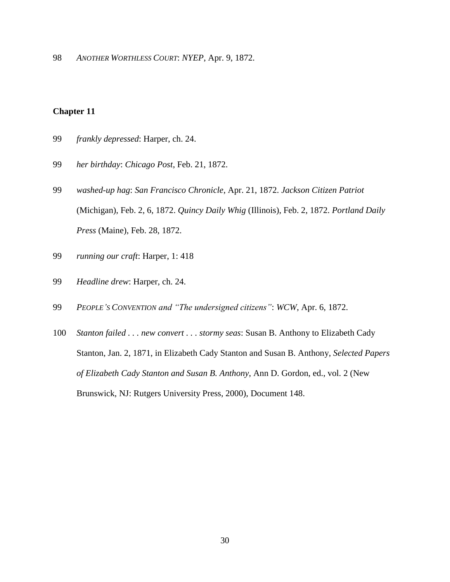98 *ANOTHER WORTHLESS COURT*: *NYEP*, Apr. 9, 1872.

- 99 *frankly depressed*: Harper, ch. 24.
- 99 *her birthday*: *Chicago Post*, Feb. 21, 1872.
- 99 *washed-up hag*: *San Francisco Chronicle*, Apr. 21, 1872. *Jackson Citizen Patriot* (Michigan), Feb. 2, 6, 1872. *Quincy Daily Whig* (Illinois), Feb. 2, 1872. *Portland Daily Press* (Maine), Feb. 28, 1872.
- 99 *running our craft*: Harper, 1: 418
- 99 *Headline drew*: Harper, ch. 24.
- 99 *PEOPLE'S CONVENTION and "The undersigned citizens"*: *WCW*, Apr. 6, 1872.
- 100 *Stanton failed . . . new convert . . . stormy seas*: Susan B. Anthony to Elizabeth Cady Stanton, Jan. 2, 1871, in Elizabeth Cady Stanton and Susan B. Anthony, *Selected Papers of Elizabeth Cady Stanton and Susan B. Anthony*, Ann D. Gordon, ed., vol. 2 (New Brunswick, NJ: Rutgers University Press, 2000), Document 148.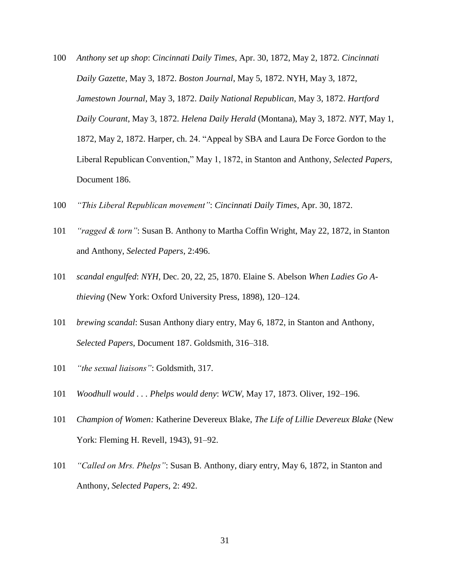- 100 *Anthony set up shop*: *Cincinnati Daily Times*, Apr. 30, 1872, May 2, 1872. *Cincinnati Daily Gazette,* May 3, 1872. *Boston Journal*, May 5, 1872. NYH, May 3, 1872, *Jamestown Journal*, May 3, 1872. *Daily National Republican*, May 3, 1872. *Hartford Daily Courant*, May 3, 1872. *Helena Daily Herald* (Montana), May 3, 1872. *NYT*, May 1, 1872, May 2, 1872. Harper, ch. 24. "Appeal by SBA and Laura De Force Gordon to the Liberal Republican Convention," May 1, 1872, in Stanton and Anthony, *Selected Papers*, Document 186.
- 100 *"This Liberal Republican movement"*: *Cincinnati Daily Times*, Apr. 30, 1872.
- 101 *"ragged & torn"*: Susan B. Anthony to Martha Coffin Wright, May 22, 1872, in Stanton and Anthony, *Selected Papers*, 2:496.
- 101 *scandal engulfed*: *NYH*, Dec. 20, 22, 25, 1870. Elaine S. Abelson *When Ladies Go Athieving* (New York: Oxford University Press, 1898), 120–124.
- 101 *brewing scandal*: Susan Anthony diary entry, May 6, 1872, in Stanton and Anthony, *Selected Papers*, Document 187. Goldsmith, 316–318.
- 101 *"the sexual liaisons"*: Goldsmith, 317.
- 101 *Woodhull would . . . Phelps would deny*: *WCW*, May 17, 1873. Oliver, 192–196.
- 101 *Champion of Women:* Katherine Devereux Blake, *The Life of Lillie Devereux Blake* (New York: Fleming H. Revell, 1943), 91–92.
- 101 *"Called on Mrs. Phelps"*: Susan B. Anthony, diary entry, May 6, 1872, in Stanton and Anthony, *Selected Papers*, 2: 492.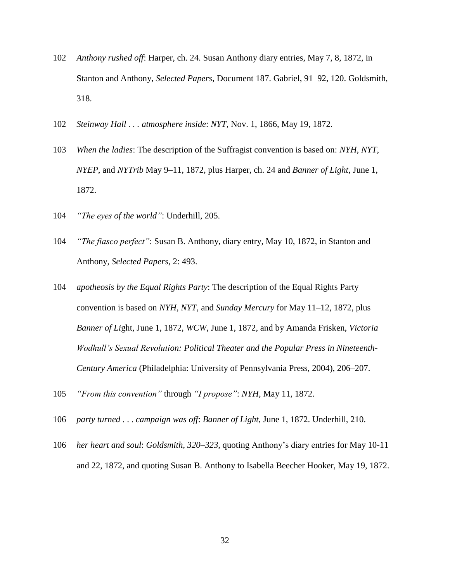- 102 *Anthony rushed off*: Harper, ch. 24. Susan Anthony diary entries, May 7, 8, 1872, in Stanton and Anthony, *Selected Papers*, Document 187. Gabriel, 91–92, 120. Goldsmith, 318.
- 102 *Steinway Hall . . . atmosphere inside*: *NYT*, Nov. 1, 1866, May 19, 1872.
- 103 *When the ladies*: The description of the Suffragist convention is based on: *NYH*, *NYT*, *NYEP*, and *NYTrib* May 9–11, 1872, plus Harper, ch. 24 and *Banner of Light*, June 1, 1872.
- 104 *"The eyes of the world"*: Underhill, 205.
- 104 *"The fiasco perfect"*: Susan B. Anthony, diary entry, May 10, 1872, in Stanton and Anthony, *Selected Papers*, 2: 493.
- 104 *apotheosis by the Equal Rights Party*: The description of the Equal Rights Party convention is based on *NYH*, *NYT*, and *Sunday Mercury* for May 11–12, 1872, plus *Banner of Li*ght, June 1, 1872, *WCW*, June 1, 1872, and by Amanda Frisken, *Victoria Wodhull's Sexual Revolution: Political Theater and the Popular Press in Nineteenth-Century America* (Philadelphia: University of Pennsylvania Press, 2004), 206–207.
- 105 *"From this convention"* through *"I propose"*: *NYH*, May 11, 1872.
- 106 *party turned* . . . *campaign was off*: *Banner of Light*, June 1, 1872. Underhill, 210.
- 106 *her heart and soul*: *Goldsmith, 320–323,* quoting Anthony's diary entries for May 10-11 and 22, 1872, and quoting Susan B. Anthony to Isabella Beecher Hooker, May 19, 1872.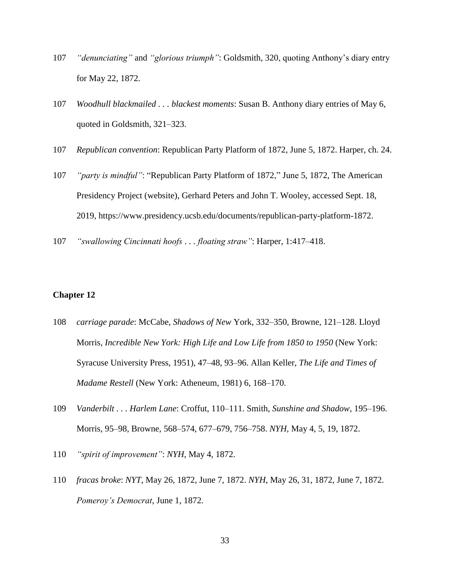- 107 *"denunciating"* and *"glorious triumph"*: Goldsmith, 320, quoting Anthony's diary entry for May 22, 1872.
- 107 *Woodhull blackmailed . . . blackest moments*: Susan B. Anthony diary entries of May 6, quoted in Goldsmith, 321–323.
- 107 *Republican convention*: Republican Party Platform of 1872, June 5, 1872. Harper, ch. 24.
- 107 *"party is mindful"*: "Republican Party Platform of 1872," June 5, 1872, The American Presidency Project (website), Gerhard Peters and John T. Wooley, accessed Sept. 18, 2019, https://www.presidency.ucsb.edu/documents/republican-party-platform-1872.
- 107 *"swallowing Cincinnati hoofs . . . floating straw"*: Harper, 1:417–418.

- 108 *carriage parade*: McCabe, *Shadows of New* York, 332–350, Browne, 121–128. Lloyd Morris, *Incredible New York: High Life and Low Life from 1850 to 1950* (New York: Syracuse University Press, 1951), 47–48, 93–96. Allan Keller, *The Life and Times of Madame Restell* (New York: Atheneum, 1981) 6, 168–170.
- 109 *Vanderbilt . . . Harlem Lane*: Croffut, 110–111. Smith, *Sunshine and Shadow*, 195–196. Morris, 95–98, Browne, 568–574, 677–679, 756–758. *NYH*, May 4, 5, 19, 1872.
- 110 *"spirit of improvement"*: *NYH*, May 4, 1872.
- 110 *fracas broke*: *NYT*, May 26, 1872, June 7, 1872. *NYH*, May 26, 31, 1872, June 7, 1872. *Pomeroy's Democrat*, June 1, 1872.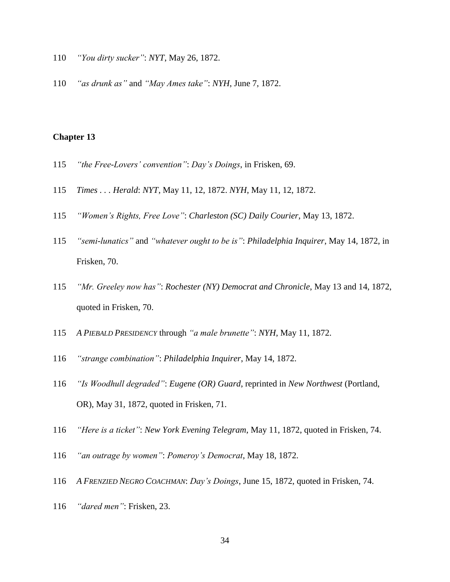- *"You dirty sucker"*: *NYT*, May 26, 1872.
- *"as drunk as"* and *"May Ames take"*: *NYH*, June 7, 1872.

- *"the Free-Lovers' convention"*: *Day's Doings*, in Frisken, 69.
- *Times . . . Herald*: *NYT*, May 11, 12, 1872. *NYH*, May 11, 12, 1872.
- *"Women's Rights, Free Love"*: *Charleston (SC) Daily Courier*, May 13, 1872.
- *"semi-lunatics"* and *"whatever ought to be is"*: *Philadelphia Inquirer*, May 14, 1872, in Frisken, 70.
- *"Mr. Greeley now has"*: *Rochester (NY) Democrat and Chronicle*, May 13 and 14, 1872, quoted in Frisken, 70.
- *A PIEBALD PRESIDENCY* through *"a male brunette"*: *NYH*, May 11, 1872.
- *"strange combination"*: *Philadelphia Inquirer*, May 14, 1872.
- *"Is Woodhull degraded"*: *Eugene (OR) Guard*, reprinted in *New Northwest* (Portland, OR), May 31, 1872, quoted in Frisken, 71.
- *"Here is a ticket"*: *New York Evening Telegram*, May 11, 1872, quoted in Frisken, 74.
- *"an outrage by women"*: *Pomeroy's Democrat*, May 18, 1872.
- *A FRENZIED NEGRO COACHMAN*: *Day's Doings*, June 15, 1872, quoted in Frisken, 74.
- *"dared men"*: Frisken, 23.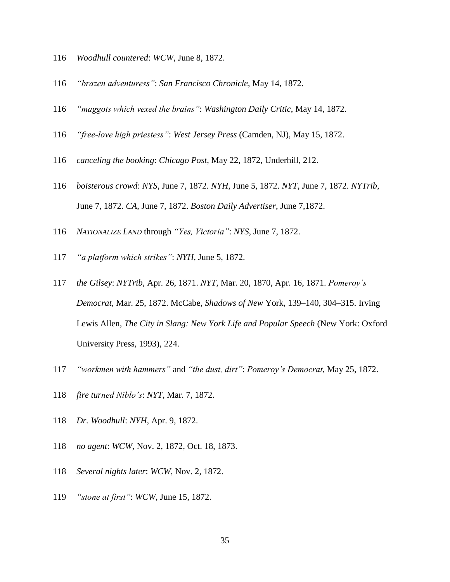- *Woodhull countered*: *WCW*, June 8, 1872.
- *"brazen adventuress"*: *San Francisco Chronicle*, May 14, 1872.
- *"maggots which vexed the brains"*: *Washington Daily Critic*, May 14, 1872.
- *"free-love high priestess"*: *West Jersey Press* (Camden, NJ), May 15, 1872.
- *canceling the booking*: *Chicago Post*, May 22, 1872, Underhill, 212.
- *boisterous crowd*: *NYS*, June 7, 1872. *NYH*, June 5, 1872. *NYT*, June 7, 1872. *NYTrib*, June 7, 1872. *CA*, June 7, 1872. *Boston Daily Advertiser*, June 7,1872.
- *NATIONALIZE LAND* through *"Yes, Victoria"*: *NYS*, June 7, 1872.
- *"a platform which strikes"*: *NYH*, June 5, 1872.
- *the Gilsey*: *NYTrib*, Apr. 26, 1871. *NYT*, Mar. 20, 1870, Apr. 16, 1871. *Pomeroy's Democrat*, Mar. 25, 1872. McCabe, *Shadows of New* York, 139–140, 304–315. Irving Lewis Allen, *The City in Slang: New York Life and Popular Speech* (New York: Oxford University Press, 1993), 224.
- *"workmen with hammers"* and *"the dust, dirt"*: *Pomeroy's Democrat*, May 25, 1872.
- *fire turned Niblo's*: *NYT*, Mar. 7, 1872.
- *Dr. Woodhull*: *NYH*, Apr. 9, 1872.
- *no agent*: *WCW*, Nov. 2, 1872, Oct. 18, 1873.
- *Several nights later*: *WCW*, Nov. 2, 1872.
- *"stone at first"*: *WCW*, June 15, 1872.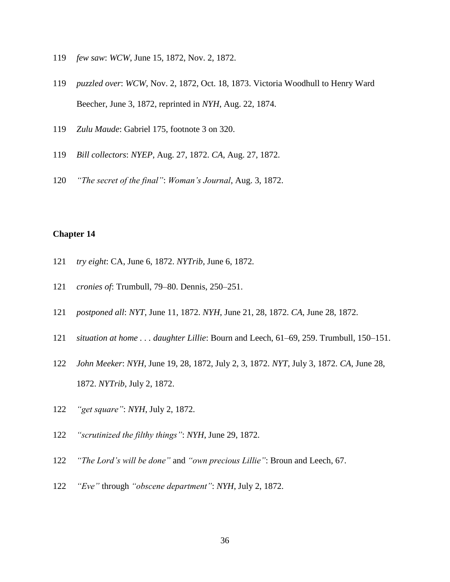- *few saw*: *WCW*, June 15, 1872, Nov. 2, 1872.
- *puzzled over*: *WCW*, Nov. 2, 1872, Oct. 18, 1873. Victoria Woodhull to Henry Ward Beecher, June 3, 1872, reprinted in *NYH*, Aug. 22, 1874.
- *Zulu Maude*: Gabriel 175, footnote 3 on 320.
- *Bill collectors*: *NYEP*, Aug. 27, 1872. *CA*, Aug. 27, 1872.
- *"The secret of the final"*: *Woman's Journal*, Aug. 3, 1872.

- *try eight*: CA, June 6, 1872. *NYTrib*, June 6, 1872.
- *cronies of*: Trumbull, 79–80. Dennis, 250–251.
- *postponed all*: *NYT*, June 11, 1872. *NYH*, June 21, 28, 1872. *CA*, June 28, 1872.
- *situation at home . . . daughter Lillie*: Bourn and Leech, 61–69, 259. Trumbull, 150–151.
- *John Meeker*: *NYH*, June 19, 28, 1872, July 2, 3, 1872. *NYT*, July 3, 1872. *CA*, June 28, 1872. *NYTrib*, July 2, 1872.
- *"get square"*: *NYH*, July 2, 1872.
- *"scrutinized the filthy things"*: *NYH*, June 29, 1872.
- *"The Lord's will be done"* and *"own precious Lillie"*: Broun and Leech, 67.
- *"Eve"* through *"obscene department"*: *NYH*, July 2, 1872.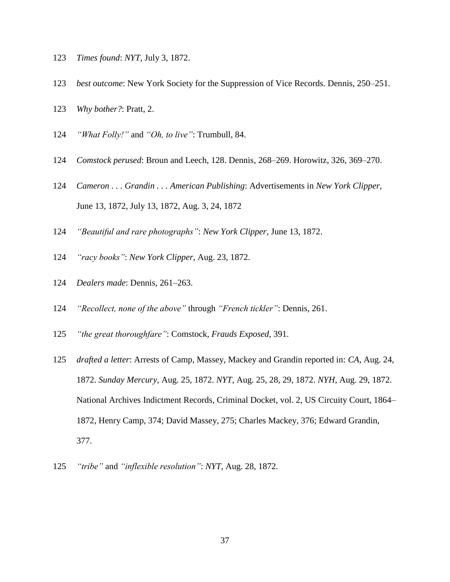- *Times found*: *NYT*, July 3, 1872.
- *best outcome*: New York Society for the Suppression of Vice Records. Dennis, 250–251.
- *Why bother?*: Pratt, 2.
- *"What Folly!"* and *"Oh, to live"*: Trumbull, 84.
- *Comstock perused*: Broun and Leech, 128. Dennis, 268–269. Horowitz, 326, 369–270.
- *Cameron . . . Grandin . . . American Publishing*: Advertisements in *New York Clipper*, June 13, 1872, July 13, 1872, Aug. 3, 24, 1872
- *"Beautiful and rare photographs"*: *New York Clipper*, June 13, 1872.
- *"racy books"*: *New York Clipper*, Aug. 23, 1872.
- *Dealers made*: Dennis, 261–263.
- *"Recollect, none of the above"* through *"French tickler"*: Dennis, 261.
- *"the great thoroughfare"*: Comstock*, Frauds Exposed*, 391.
- *drafted a letter*: Arrests of Camp, Massey, Mackey and Grandin reported in: *CA*, Aug. 24, 1872. *Sunday Mercury*, Aug. 25, 1872. *NYT*, Aug. 25, 28, 29, 1872. *NYH*, Aug. 29, 1872. National Archives Indictment Records, Criminal Docket, vol. 2, US Circuity Court, 1864– 1872, Henry Camp, 374; David Massey, 275; Charles Mackey, 376; Edward Grandin, 377.
- *"tribe"* and *"inflexible resolution"*: *NYT*, Aug. 28, 1872.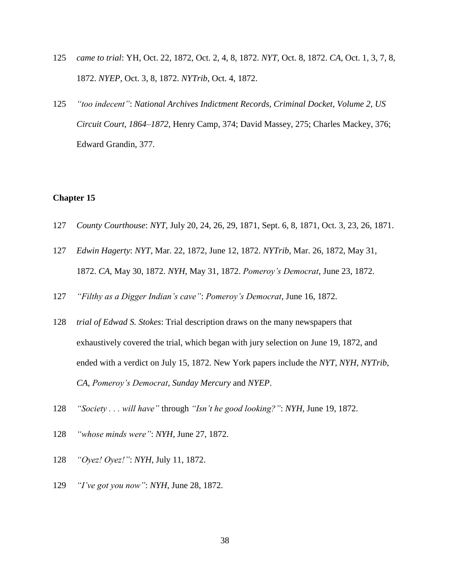- 125 *came to trial*: YH, Oct. 22, 1872, Oct. 2, 4, 8, 1872. *NYT*, Oct. 8, 1872. *CA*, Oct. 1, 3, 7, 8, 1872. *NYEP*, Oct. 3, 8, 1872. *NYTrib*, Oct. 4, 1872.
- 125 *"too indecent"*: *National Archives Indictment Records, Criminal Docket, Volume 2, US Circuit Court, 1864–1872*, Henry Camp, 374; David Massey, 275; Charles Mackey, 376; Edward Grandin, 377.

- 127 *County Courthouse*: *NYT*, July 20, 24, 26, 29, 1871, Sept. 6, 8, 1871, Oct. 3, 23, 26, 1871.
- 127 *Edwin Hagerty*: *NYT*, Mar. 22, 1872, June 12, 1872. *NYTrib*, Mar. 26, 1872, May 31, 1872. *CA*, May 30, 1872. *NYH*, May 31, 1872. *Pomeroy's Democrat*, June 23, 1872.
- 127 *"Filthy as a Digger Indian's cave"*: *Pomeroy's Democrat*, June 16, 1872.
- 128 *trial of Edwad S. Stokes*: Trial description draws on the many newspapers that exhaustively covered the trial, which began with jury selection on June 19, 1872, and ended with a verdict on July 15, 1872. New York papers include the *NYT*, *NYH*, *NYTrib*, *CA*, *Pomeroy's Democrat*, *Sunday Mercury* and *NYEP*.
- 128 *"Society . . . will have"* through *"Isn't he good looking?"*: *NYH*, June 19, 1872.
- 128 *"whose minds were"*: *NYH*, June 27, 1872.
- 128 *"Oyez! Oyez!"*: *NYH*, July 11, 1872.
- 129 *"I've got you now"*: *NYH*, June 28, 1872.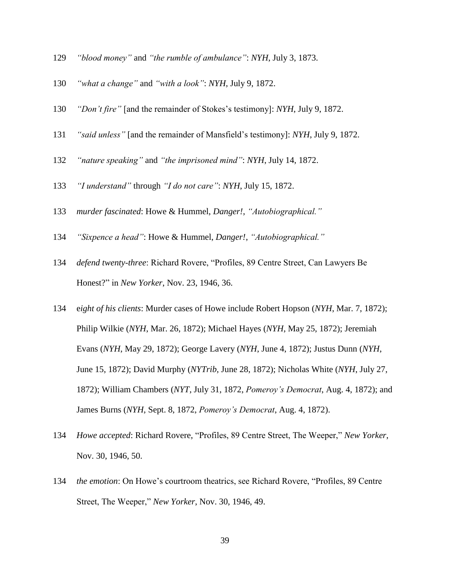- *"blood money"* and *"the rumble of ambulance"*: *NYH*, July 3, 1873.
- *"what a change"* and *"with a look"*: *NYH*, July 9, 1872.
- *"Don't fire"* [and the remainder of Stokes's testimony]: *NYH*, July 9, 1872.
- *"said unless"* [and the remainder of Mansfield's testimony]: *NYH*, July 9, 1872.
- *"nature speaking"* and *"the imprisoned mind"*: *NYH*, July 14, 1872.
- *"I understand"* through *"I do not care"*: *NYH*, July 15, 1872.
- *murder fascinated*: Howe & Hummel, *Danger!*, *"Autobiographical."*
- *"Sixpence a head"*: Howe & Hummel, *Danger!*, *"Autobiographical."*
- *defend twenty-three*: Richard Rovere, "Profiles, 89 Centre Street, Can Lawyers Be Honest?" in *New Yorker*, Nov. 23, 1946, 36.
- e*ight of his clients*: Murder cases of Howe include Robert Hopson (*NYH*, Mar. 7, 1872); Philip Wilkie (*NYH*, Mar. 26, 1872); Michael Hayes (*NYH*, May 25, 1872); Jeremiah Evans (*NYH*, May 29, 1872); George Lavery (*NYH*, June 4, 1872); Justus Dunn (*NYH*, June 15, 1872); David Murphy (*NYTrib*, June 28, 1872); Nicholas White (*NYH*, July 27, 1872); William Chambers (*NYT*, July 31, 1872, *Pomeroy's Democrat*, Aug. 4, 1872); and James Burns (*NYH*, Sept. 8, 1872, *Pomeroy's Democrat*, Aug. 4, 1872).
- *Howe accepted*: Richard Rovere, "Profiles, 89 Centre Street, The Weeper," *New Yorker*, Nov. 30, 1946, 50.
- *the emotion*: On Howe's courtroom theatrics, see Richard Rovere, "Profiles, 89 Centre Street, The Weeper," *New Yorker*, Nov. 30, 1946, 49.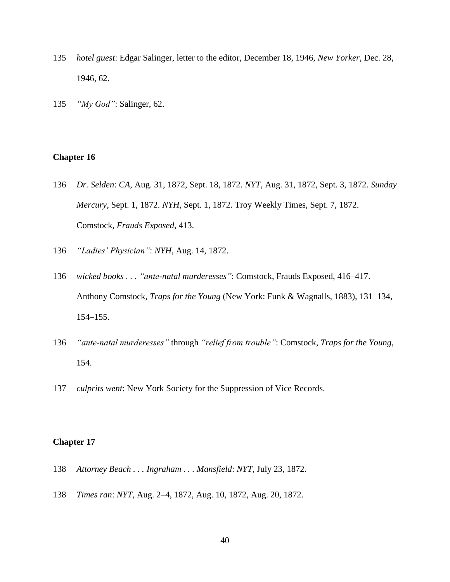- 135 *hotel guest*: Edgar Salinger, letter to the editor, December 18, 1946, *New Yorker*, Dec. 28, 1946, 62.
- 135 *"My God"*: Salinger, 62.

- 136 *Dr. Selden*: *CA*, Aug. 31, 1872, Sept. 18, 1872. *NYT*, Aug. 31, 1872, Sept. 3, 1872. *Sunday Mercury*, Sept. 1, 1872. *NYH*, Sept. 1, 1872. Troy Weekly Times, Sept. 7, 1872. Comstock, *Frauds Exposed*, 413.
- 136 *"Ladies' Physician"*: *NYH*, Aug. 14, 1872.
- 136 *wicked books . . . "ante-natal murderesses"*: Comstock, Frauds Exposed, 416–417. Anthony Comstock, *Traps for the Young* (New York: Funk & Wagnalls, 1883), 131–134, 154–155.
- 136 *"ante-natal murderesses"* through *"relief from trouble"*: Comstock, *Traps for the Young*, 154.
- 137 *culprits went*: New York Society for the Suppression of Vice Records.

- 138 *Attorney Beach . . . Ingraham . . . Mansfield*: *NYT*, July 23, 1872.
- 138 *Times ran*: *NYT*, Aug. 2–4, 1872, Aug. 10, 1872, Aug. 20, 1872.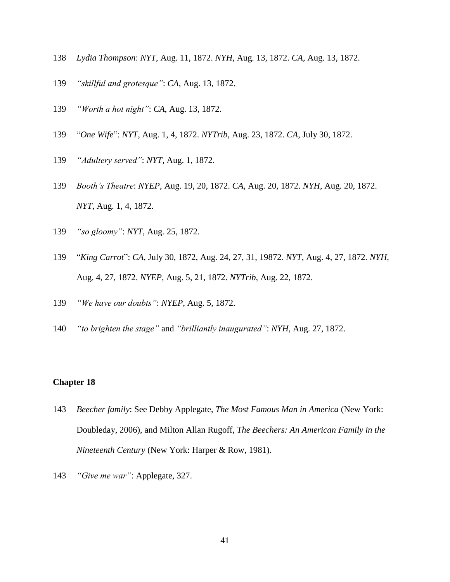- *Lydia Thompson*: *NYT*, Aug. 11, 1872. *NYH*, Aug. 13, 1872. *CA*, Aug. 13, 1872.
- *"skillful and grotesque"*: *CA*, Aug. 13, 1872.
- *"Worth a hot night"*: *CA*, Aug. 13, 1872.
- "*One Wife*": *NYT*, Aug. 1, 4, 1872. *NYTrib*, Aug. 23, 1872. *CA*, July 30, 1872.
- *"Adultery served"*: *NYT*, Aug. 1, 1872.
- *Booth's Theatre*: *NYEP*, Aug. 19, 20, 1872. *CA*, Aug. 20, 1872. *NYH*, Aug. 20, 1872. *NYT*, Aug. 1, 4, 1872.
- *"so gloomy"*: *NYT*, Aug. 25, 1872.
- "*King Carrot*": *CA*, July 30, 1872, Aug. 24, 27, 31, 19872. *NYT*, Aug. 4, 27, 1872. *NYH*, Aug. 4, 27, 1872. *NYEP*, Aug. 5, 21, 1872. *NYTrib*, Aug. 22, 1872.
- *"We have our doubts"*: *NYEP*, Aug. 5, 1872.
- *"to brighten the stage"* and *"brilliantly inaugurated"*: *NYH*, Aug. 27, 1872.

- *Beecher family*: See Debby Applegate, *The Most Famous Man in America* (New York: Doubleday, 2006), and Milton Allan Rugoff, *The Beechers: An American Family in the Nineteenth Century* (New York: Harper & Row, 1981).
- *"Give me war"*: Applegate, 327.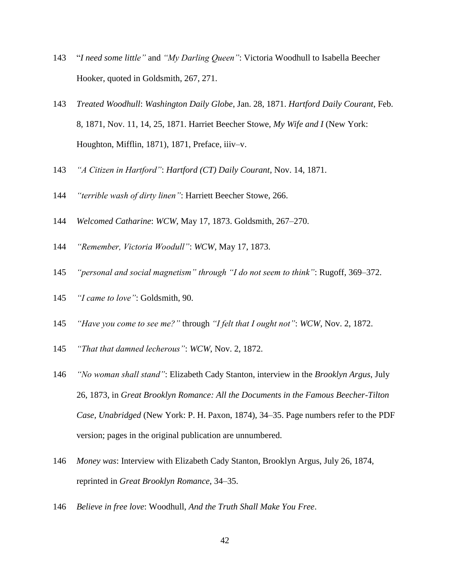- "*I need some little"* and *"My Darling Queen"*: Victoria Woodhull to Isabella Beecher Hooker, quoted in Goldsmith, 267, 271.
- *Treated Woodhull*: *Washington Daily Globe*, Jan. 28, 1871. *Hartford Daily Courant*, Feb. 8, 1871, Nov. 11, 14, 25, 1871. Harriet Beecher Stowe, *My Wife and I* (New York: Houghton, Mifflin, 1871), 1871, Preface, iiiv–v.
- *"A Citizen in Hartford"*: *Hartford (CT) Daily Courant*, Nov. 14, 1871.
- *"terrible wash of dirty linen"*: Harriett Beecher Stowe, 266.
- *Welcomed Catharine*: *WCW*, May 17, 1873. Goldsmith, 267–270.
- *"Remember, Victoria Woodull"*: *WCW*, May 17, 1873.
- *"personal and social magnetism" through "I do not seem to think"*: Rugoff, 369–372.
- *"I came to love"*: Goldsmith, 90.
- *"Have you come to see me?"* through *"I felt that I ought not"*: *WCW*, Nov. 2, 1872.
- *"That that damned lecherous"*: *WCW*, Nov. 2, 1872.
- *"No woman shall stand"*: Elizabeth Cady Stanton, interview in the *Brooklyn Argus*, July 26, 1873, in *Great Brooklyn Romance: All the Documents in the Famous Beecher-Tilton Case, Unabridged* (New York: P. H. Paxon, 1874), 34–35. Page numbers refer to the PDF version; pages in the original publication are unnumbered.
- *Money was*: Interview with Elizabeth Cady Stanton, Brooklyn Argus, July 26, 1874, reprinted in *Great Brooklyn Romance*, 34–35.
- *Believe in free love*: Woodhull, *And the Truth Shall Make You Free*.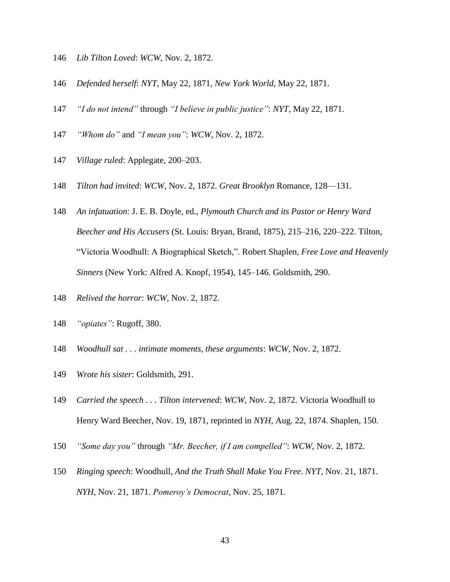- *Lib Tilton Loved*: *WCW*, Nov. 2, 1872.
- *Defended herself*: *NYT*, May 22, 1871, *New York World*, May 22, 1871.
- *"I do not intend"* through *"I believe in public justice"*: *NYT*, May 22, 1871.
- *"Whom do"* and *"I mean you"*: *WCW*, Nov. 2, 1872.
- *Village ruled*: Applegate, 200–203.
- *Tilton had invited*: *WCW*, Nov. 2, 1872. *Great Brooklyn* Romance, 128—131.
- *An infatuation*: J. E. B. Doyle, ed., *Plymouth Church and its Pastor or Henry Ward Beecher and His Accusers* (St. Louis: Bryan, Brand, 1875), 215–216, 220–222. Tilton, "Victoria Woodhull: A Biographical Sketch,". Robert Shaplen, *Free Love and Heavenly Sinners* (New York: Alfred A. Knopf, 1954), 145–146. Goldsmith, 290.
- *Relived the horror*: *WCW*, Nov. 2, 1872.
- *"opiates"*: Rugoff, 380.
- *Woodhull sat . . . intimate moments, these arguments*: *WCW*, Nov. 2, 1872.
- *Wrote his sister*: Goldsmith, 291.
- *Carried the speech . . . Tilton intervened*: *WCW*, Nov. 2, 1872. Victoria Woodhull to Henry Ward Beecher, Nov. 19, 1871, reprinted in *NYH*, Aug. 22, 1874. Shaplen, 150.
- *"Some day you"* through *"Mr. Beecher, if I am compelled"*: *WCW*, Nov. 2, 1872.
- *Ringing speech*: Woodhull, *And the Truth Shall Make You Free*. *NYT*, Nov. 21, 1871. *NYH*, Nov. 21, 1871. *Pomeroy's Democrat*, Nov. 25, 1871.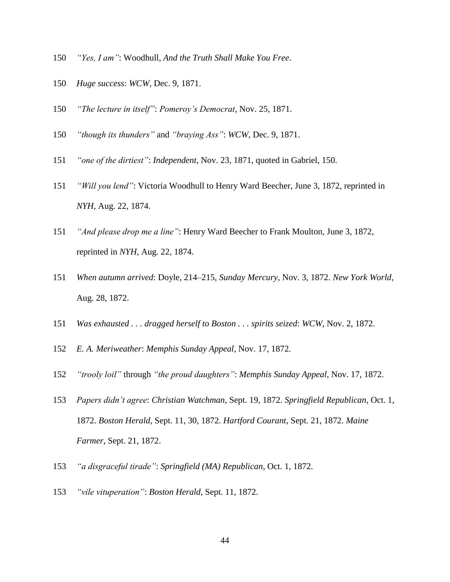- *"Yes, I am"*: Woodhull, *And the Truth Shall Make You Free*.
- *Huge success*: *WCW*, Dec. 9, 1871.
- *"The lecture in itself"*: *Pomeroy's Democrat*, Nov. 25, 1871.
- *"though its thunders"* and *"braying Ass"*: *WCW*, Dec. 9, 1871.
- *"one of the dirtiest"*: *Independent*, Nov. 23, 1871, quoted in Gabriel, 150.
- *"Will you lend"*: Victoria Woodhull to Henry Ward Beecher, June 3, 1872, reprinted in *NYH*, Aug. 22, 1874.
- *"And please drop me a line"*: Henry Ward Beecher to Frank Moulton, June 3, 1872, reprinted in *NYH*, Aug. 22, 1874.
- *When autumn arrived*: Doyle, 214–215, *Sunday Mercury*, Nov. 3, 1872. *New York World*, Aug. 28, 1872.
- *Was exhausted . . . dragged herself to Boston . . . spirits seized*: *WCW*, Nov. 2, 1872.
- *E. A. Meriweather*: *Memphis Sunday Appeal*, Nov. 17, 1872.
- *"trooly loil"* through *"the proud daughters"*: *Memphis Sunday Appeal*, Nov. 17, 1872.
- *Papers didn't agree*: *Christian Watchman*, Sept. 19, 1872. *Springfield Republican*, Oct. 1, 1872. *Boston Herald*, Sept. 11, 30, 1872. *Hartford Courant*, Sept. 21, 1872. *Maine Farmer*, Sept. 21, 1872.
- *"a disgraceful tirade"*: *Springfield (MA) Republican*, Oct. 1, 1872.
- *"vile vituperation"*: *Boston Herald*, Sept. 11, 1872.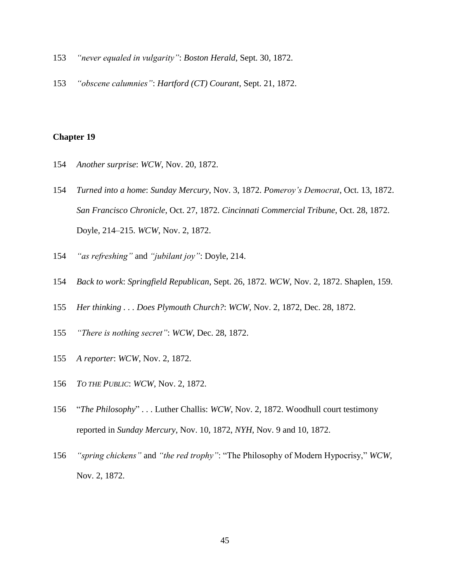- *"never equaled in vulgarity"*: *Boston Herald*, Sept. 30, 1872.
- *"obscene calumnies"*: *Hartford (CT) Courant*, Sept. 21, 1872.

- *Another surprise*: *WCW*, Nov. 20, 1872.
- *Turned into a home*: *Sunday Mercury*, Nov. 3, 1872. *Pomeroy's Democrat*, Oct. 13, 1872. *San Francisco Chronicle*, Oct. 27, 1872. *Cincinnati Commercial Tribune*, Oct. 28, 1872. Doyle, 214–215. *WCW*, Nov. 2, 1872.
- *"as refreshing"* and *"jubilant joy"*: Doyle, 214.
- *Back to work*: *Springfield Republican*, Sept. 26, 1872. *WCW*, Nov. 2, 1872. Shaplen, 159.
- *Her thinking . . . Does Plymouth Church?*: *WCW*, Nov. 2, 1872, Dec. 28, 1872.
- *"There is nothing secret"*: *WCW*, Dec. 28, 1872.
- *A reporter*: *WCW*, Nov. 2, 1872.
- *TO THE PUBLIC*: *WCW*, Nov. 2, 1872.
- "*The Philosophy*" . . . Luther Challis: *WCW*, Nov. 2, 1872. Woodhull court testimony reported in *Sunday Mercury*, Nov. 10, 1872, *NYH*, Nov. 9 and 10, 1872.
- *"spring chickens"* and *"the red trophy"*: "The Philosophy of Modern Hypocrisy," *WCW*, Nov. 2, 1872.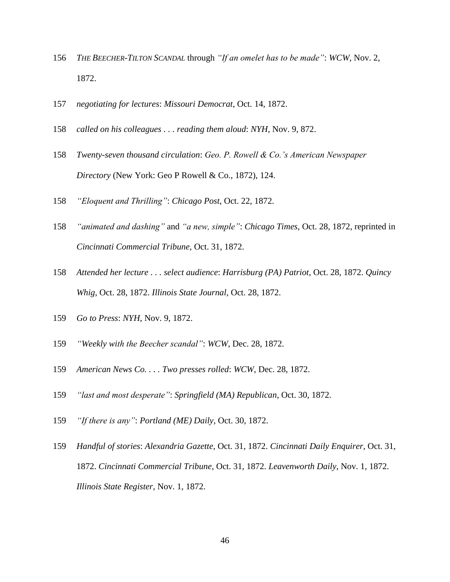- *THE BEECHER-TILTON SCANDAL* through *"If an omelet has to be made"*: *WCW*, Nov. 2, 1872.
- *negotiating for lectures*: *Missouri Democrat*, Oct. 14, 1872.
- *called on his colleagues . . . reading them aloud*: *NYH*, Nov. 9, 872.
- *Twenty-seven thousand circulation*: *Geo. P. Rowell & Co.'s American Newspaper Directory* (New York: Geo P Rowell & Co., 1872), 124.
- *"Eloquent and Thrilling"*: *Chicago Post*, Oct. 22, 1872.
- *"animated and dashing"* and *"a new, simple"*: *Chicago Times*, Oct. 28, 1872, reprinted in *Cincinnati Commercial Tribune*, Oct. 31, 1872.
- *Attended her lecture . . . select audience*: *Harrisburg (PA) Patriot*, Oct. 28, 1872. *Quincy Whig*, Oct. 28, 1872. *Illinois State Journal*, Oct. 28, 1872.
- *Go to Press*: *NYH*, Nov. 9, 1872.
- *"Weekly with the Beecher scandal"*: *WCW*, Dec. 28, 1872.
- *American News Co. . . . Two presses rolled*: *WCW*, Dec. 28, 1872.
- *"last and most desperate"*: *Springfield (MA) Republican*, Oct. 30, 1872.
- *"If there is any"*: *Portland (ME) Daily*, Oct. 30, 1872.
- *Handful of stories*: *Alexandria Gazette*, Oct. 31, 1872. *Cincinnati Daily Enquirer*, Oct. 31, 1872. *Cincinnati Commercial Tribune*, Oct. 31, 1872. *Leavenworth Daily*, Nov. 1, 1872. *Illinois State Register*, Nov. 1, 1872.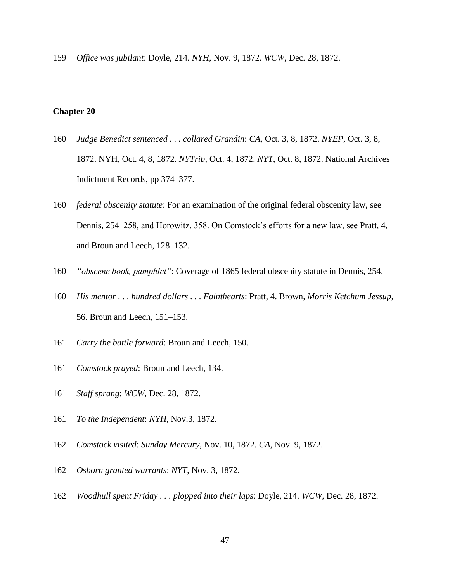*Office was jubilant*: Doyle, 214. *NYH*, Nov. 9, 1872. *WCW*, Dec. 28, 1872.

- *Judge Benedict sentenced . . . collared Grandin*: *CA*, Oct. 3, 8, 1872. *NYEP*, Oct. 3, 8, 1872. NYH, Oct. 4, 8, 1872. *NYTrib*, Oct. 4, 1872. *NYT*, Oct. 8, 1872. National Archives Indictment Records, pp 374–377.
- *federal obscenity statute*: For an examination of the original federal obscenity law, see Dennis, 254–258, and Horowitz, 358. On Comstock's efforts for a new law, see Pratt, 4, and Broun and Leech, 128–132.
- *"obscene book, pamphlet"*: Coverage of 1865 federal obscenity statute in Dennis, 254.
- *His mentor . . . hundred dollars . . . Fainthearts*: Pratt, 4. Brown, *Morris Ketchum Jessup*, 56. Broun and Leech, 151–153.
- *Carry the battle forward*: Broun and Leech, 150.
- *Comstock prayed*: Broun and Leech, 134.
- *Staff sprang*: *WCW*, Dec. 28, 1872.
- *To the Independent*: *NYH*, Nov.3, 1872.
- *Comstock visited*: *Sunday Mercury*, Nov. 10, 1872. *CA*, Nov. 9, 1872.
- *Osborn granted warrants*: *NYT*, Nov. 3, 1872.
- *Woodhull spent Friday . . . plopped into their laps*: Doyle, 214. *WCW*, Dec. 28, 1872.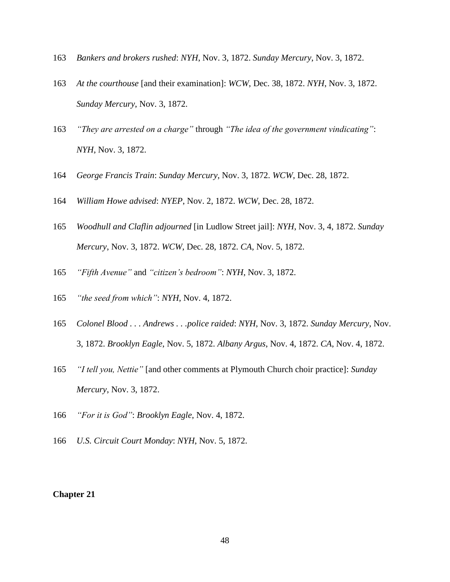- *Bankers and brokers rushed*: *NYH*, Nov. 3, 1872. *Sunday Mercury*, Nov. 3, 1872.
- *At the courthouse* [and their examination]: *WCW*, Dec. 38, 1872. *NYH*, Nov. 3, 1872. *Sunday Mercury*, Nov. 3, 1872.
- *"They are arrested on a charge"* through *"The idea of the government vindicating"*: *NYH*, Nov. 3, 1872.
- *George Francis Train*: *Sunday Mercury*, Nov. 3, 1872. *WCW*, Dec. 28, 1872.
- *William Howe advised*: *NYEP*, Nov. 2, 1872. *WCW*, Dec. 28, 1872.
- *Woodhull and Claflin adjourned* [in Ludlow Street jail]: *NYH*, Nov. 3, 4, 1872. *Sunday Mercury*, Nov. 3, 1872. *WCW*, Dec. 28, 1872. *CA*, Nov. 5, 1872.
- *"Fifth Avenue"* and *"citizen's bedroom"*: *NYH*, Nov. 3, 1872.
- *"the seed from which"*: *NYH*, Nov. 4, 1872.
- *Colonel Blood . . . Andrews . . .police raided*: *NYH*, Nov. 3, 1872. *Sunday Mercury*, Nov. 3, 1872. *Brooklyn Eagle*, Nov. 5, 1872. *Albany Argus*, Nov. 4, 1872. *CA*, Nov. 4, 1872.
- *"I tell you, Nettie"* [and other comments at Plymouth Church choir practice]: *Sunday Mercury*, Nov. 3, 1872.
- *"For it is God"*: *Brooklyn Eagle*, Nov. 4, 1872.
- *U.S. Circuit Court Monday*: *NYH*, Nov. 5, 1872.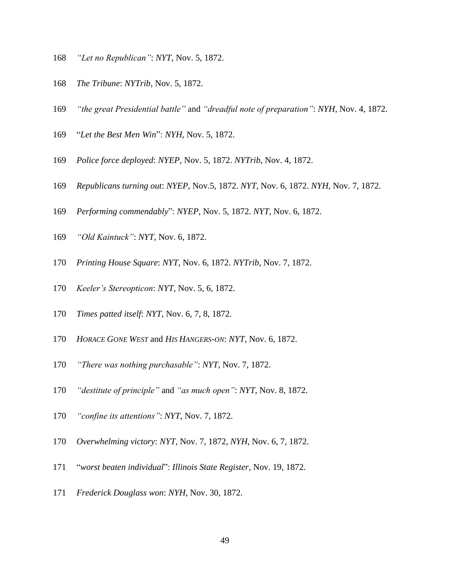- *"Let no Republican"*: *NYT*, Nov. 5, 1872.
- *The Tribune*: *NYTrib*, Nov. 5, 1872.
- *"the great Presidential battle"* and *"dreadful note of preparation"*: *NYH*, Nov. 4, 1872.
- "*Let the Best Men Win*": *NYH*, Nov. 5, 1872.
- *Police force deployed*: *NYEP*, Nov. 5, 1872. *NYTrib*, Nov. 4, 1872.
- *Republicans turning out*: *NYEP*, Nov.5, 1872. *NYT*, Nov. 6, 1872. *NYH*, Nov. 7, 1872.
- *Performing commendably*": *NYEP*, Nov. 5, 1872. *NYT*, Nov. 6, 1872.
- *"Old Kaintuck"*: *NYT*, Nov. 6, 1872.
- *Printing House Square*: *NYT*, Nov. 6, 1872. *NYTrib*, Nov. 7, 1872.
- *Keeler's Stereopticon*: *NYT*, Nov. 5, 6, 1872.
- *Times patted itself*: *NYT*, Nov. 6, 7, 8, 1872.
- *HORACE GONE WEST* and *HIS HANGERS-ON*: *NYT*, Nov. 6, 1872.
- *"There was nothing purchasable"*: *NYT*, Nov. 7, 1872.
- *"destitute of principle"* and *"as much open"*: *NYT*, Nov. 8, 1872.
- *"confine its attentions"*: *NYT*, Nov. 7, 1872.
- *Overwhelming victory*: *NYT*, Nov. 7, 1872, *NYH*, Nov. 6, 7, 1872.
- "*worst beaten individual*": *Illinois State Register*, Nov. 19, 1872.
- *Frederick Douglass won*: *NYH*, Nov. 30, 1872.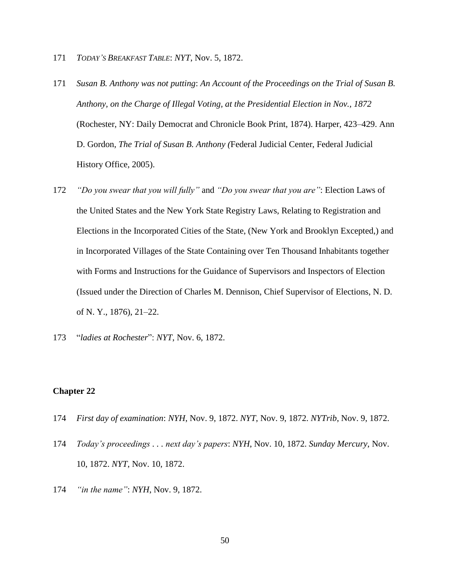- 171 *TODAY'S BREAKFAST TABLE*: *NYT*, Nov. 5, 1872.
- 171 *Susan B. Anthony was not putting*: *An Account of the Proceedings on the Trial of Susan B. Anthony, on the Charge of Illegal Voting, at the Presidential Election in Nov., 1872* (Rochester, NY: Daily Democrat and Chronicle Book Print, 1874). Harper, 423–429. Ann D. Gordon, *The Trial of Susan B. Anthony (*Federal Judicial Center, Federal Judicial History Office, 2005).
- 172 *"Do you swear that you will fully"* and *"Do you swear that you are"*: Election Laws of the United States and the New York State Registry Laws, Relating to Registration and Elections in the Incorporated Cities of the State, (New York and Brooklyn Excepted,) and in Incorporated Villages of the State Containing over Ten Thousand Inhabitants together with Forms and Instructions for the Guidance of Supervisors and Inspectors of Election (Issued under the Direction of Charles M. Dennison, Chief Supervisor of Elections, N. D. of N. Y., 1876), 21–22.
- 173 "*ladies at Rochester*": *NYT*, Nov. 6, 1872.

- 174 *First day of examination*: *NYH*, Nov. 9, 1872. *NYT*, Nov. 9, 1872. *NYTrib*, Nov. 9, 1872.
- 174 *Today's proceedings . . . next day's papers*: *NYH*, Nov. 10, 1872. *Sunday Mercury*, Nov. 10, 1872. *NYT*, Nov. 10, 1872.
- 174 *"in the name"*: *NYH*, Nov. 9, 1872.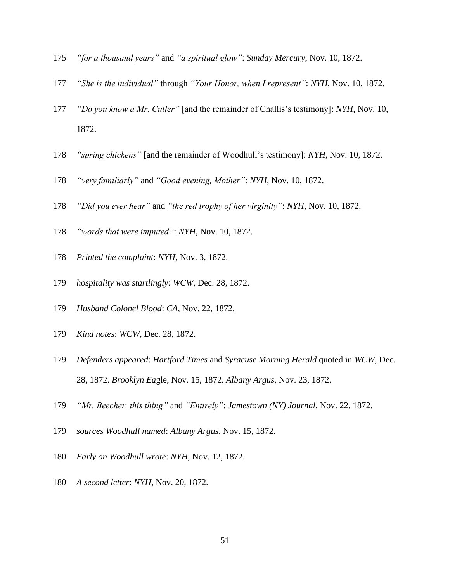- *"for a thousand years"* and *"a spiritual glow"*: *Sunday Mercury*, Nov. 10, 1872.
- *"She is the individual"* through *"Your Honor, when I represent"*: *NYH*, Nov. 10, 1872.
- *"Do you know a Mr. Cutler"* [and the remainder of Challis's testimony]: *NYH*, Nov. 10, 1872.
- *"spring chickens"* [and the remainder of Woodhull's testimony]: *NYH*, Nov. 10, 1872.
- *"very familiarly"* and *"Good evening, Mother"*: *NYH*, Nov. 10, 1872.
- *"Did you ever hear"* and *"the red trophy of her virginity"*: *NYH*, Nov. 10, 1872.
- *"words that were imputed"*: *NYH*, Nov. 10, 1872.
- *Printed the complaint*: *NYH*, Nov. 3, 1872.
- *hospitality was startlingly*: *WCW*, Dec. 28, 1872.
- *Husband Colonel Blood*: *CA*, Nov. 22, 1872.
- *Kind notes*: *WCW*, Dec. 28, 1872.
- *Defenders appeared*: *Hartford Times* and *Syracuse Morning Herald* quoted in *WCW*, Dec. 28, 1872. *Brooklyn Ea*gle, Nov. 15, 1872. *Albany Argus*, Nov. 23, 1872.
- *"Mr. Beecher, this thing"* and *"Entirely"*: *Jamestown (NY) Journal*, Nov. 22, 1872.
- *sources Woodhull named*: *Albany Argus*, Nov. 15, 1872.
- *Early on Woodhull wrote*: *NYH*, Nov. 12, 1872.
- *A second letter*: *NYH*, Nov. 20, 1872.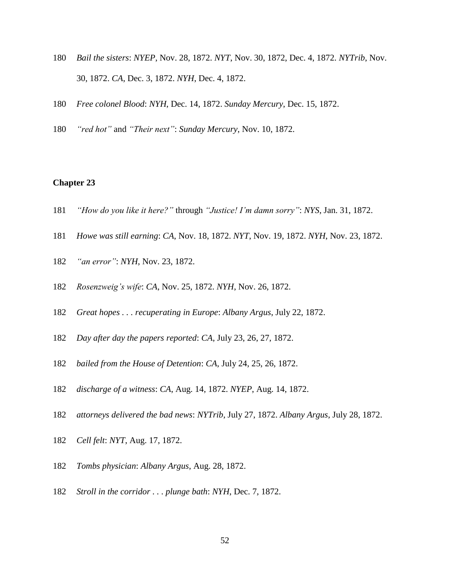- *Bail the sisters*: *NYEP*, Nov. 28, 1872. *NYT*, Nov. 30, 1872, Dec. 4, 1872. *NYTrib*, Nov. 30, 1872. *CA*, Dec. 3, 1872. *NYH*, Dec. 4, 1872.
- *Free colonel Blood*: *NYH*, Dec. 14, 1872. *Sunday Mercury*, Dec. 15, 1872.
- *"red hot"* and *"Their next"*: *Sunday Mercury*, Nov. 10, 1872.

- *"How do you like it here?"* through *"Justice! I'm damn sorry"*: *NYS*, Jan. 31, 1872.
- *Howe was still earning*: *CA*, Nov. 18, 1872. *NYT*, Nov. 19, 1872. *NYH*, Nov. 23, 1872.
- *"an error"*: *NYH*, Nov. 23, 1872.
- *Rosenzweig's wife*: *CA*, Nov. 25, 1872. *NYH*, Nov. 26, 1872.
- *Great hopes . . . recuperating in Europe*: *Albany Argus*, July 22, 1872.
- *Day after day the papers reported*: *CA*, July 23, 26, 27, 1872.
- *bailed from the House of Detention*: *CA*, July 24, 25, 26, 1872.
- *discharge of a witness*: *CA*, Aug. 14, 1872. *NYEP*, Aug. 14, 1872.
- *attorneys delivered the bad news*: *NYTrib*, July 27, 1872. *Albany Argus*, July 28, 1872.
- *Cell felt*: *NYT*, Aug. 17, 1872.
- *Tombs physician*: *Albany Argus*, Aug. 28, 1872.
- *Stroll in the corridor . . . plunge bath*: *NYH*, Dec. 7, 1872.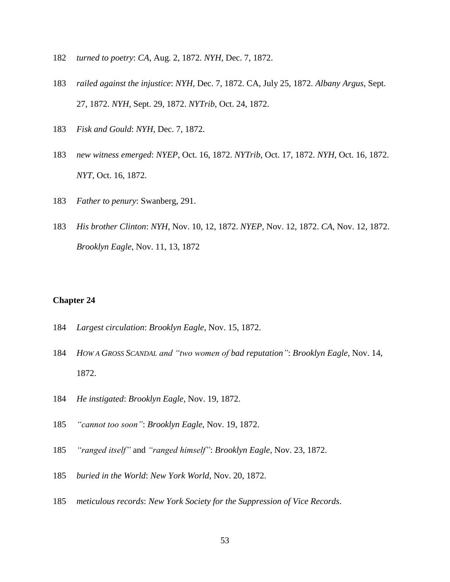- *turned to poetry*: *CA*, Aug. 2, 1872. *NYH*, Dec. 7, 1872.
- *railed against the injustice*: *NYH*, Dec. 7, 1872. CA, July 25, 1872. *Albany Argus*, Sept. 27, 1872. *NYH*, Sept. 29, 1872. *NYTrib*, Oct. 24, 1872.
- *Fisk and Gould*: *NYH*, Dec. 7, 1872.
- *new witness emerged*: *NYEP*, Oct. 16, 1872. *NYTrib*, Oct. 17, 1872. *NYH*, Oct. 16, 1872. *NYT*, Oct. 16, 1872.
- *Father to penury*: Swanberg, 291.
- *His brother Clinton*: *NYH*, Nov. 10, 12, 1872. *NYEP*, Nov. 12, 1872. *CA*, Nov. 12, 1872. *Brooklyn Eagle*, Nov. 11, 13, 1872

- *Largest circulation*: *Brooklyn Eagle*, Nov. 15, 1872.
- *HOW A GROSS SCANDAL and "two women of bad reputation"*: *Brooklyn Eagle*, Nov. 14, 1872.
- *He instigated*: *Brooklyn Eagle*, Nov. 19, 1872.
- *"cannot too soon"*: *Brooklyn Eagle*, Nov. 19, 1872.
- *"ranged itself"* and *"ranged himself"*: *Brooklyn Eagle*, Nov. 23, 1872.
- *buried in the World*: *New York World*, Nov. 20, 1872.
- *meticulous records*: *New York Society for the Suppression of Vice Records*.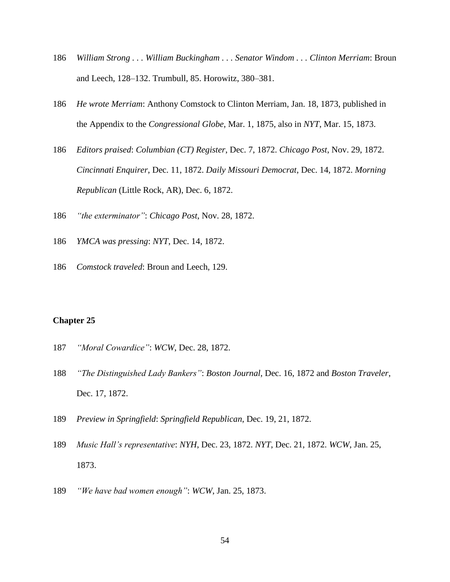- *William Strong . . . William Buckingham . . . Senator Windom . . . Clinton Merriam*: Broun and Leech, 128–132. Trumbull, 85. Horowitz, 380–381.
- *He wrote Merriam*: Anthony Comstock to Clinton Merriam, Jan. 18, 1873, published in the Appendix to the *Congressional Globe*, Mar. 1, 1875, also in *NYT*, Mar. 15, 1873.
- *Editors praised*: *Columbian (CT) Register*, Dec. 7, 1872. *Chicago Post*, Nov. 29, 1872. *Cincinnati Enquirer*, Dec. 11, 1872. *Daily Missouri Democrat*, Dec. 14, 1872. *Morning Republican* (Little Rock, AR), Dec. 6, 1872.
- *"the exterminator"*: *Chicago Post*, Nov. 28, 1872.
- *YMCA was pressing*: *NYT*, Dec. 14, 1872.
- *Comstock traveled*: Broun and Leech, 129.

- *"Moral Cowardice"*: *WCW*, Dec. 28, 1872.
- *"The Distinguished Lady Bankers"*: *Boston Journal*, Dec. 16, 1872 and *Boston Traveler*, Dec. 17, 1872.
- *Preview in Springfield*: *Springfield Republican*, Dec. 19, 21, 1872.
- *Music Hall's representative*: *NYH*, Dec. 23, 1872. *NYT*, Dec. 21, 1872. *WCW*, Jan. 25, 1873.
- *"We have bad women enough"*: *WCW*, Jan. 25, 1873.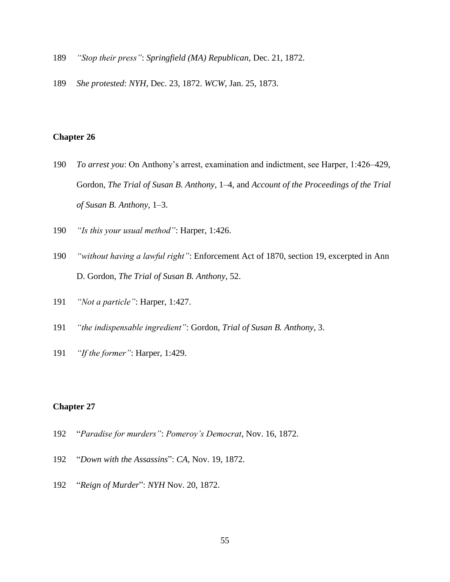- *"Stop their press"*: *Springfield (MA) Republican*, Dec. 21, 1872.
- *She protested*: *NYH*, Dec. 23, 1872. *WCW*, Jan. 25, 1873.

- *To arrest you*: On Anthony's arrest, examination and indictment, see Harper, 1:426–429, Gordon, *The Trial of Susan B. Anthony*, 1–4, and *Account of the Proceedings of the Trial of Susan B. Anthony*, 1–3.
- *"Is this your usual method"*: Harper, 1:426.
- *"without having a lawful right"*: Enforcement Act of 1870, section 19, excerpted in Ann D. Gordon, *The Trial of Susan B. Anthony,* 52.
- *"Not a particle"*: Harper, 1:427.
- *"the indispensable ingredient"*: Gordon, *Trial of Susan B. Anthony*, 3.
- *"If the former"*: Harper, 1:429.

- "*Paradise for murders"*: *Pomeroy's Democrat*, Nov. 16, 1872.
- "*Down with the Assassins*": *CA*, Nov. 19, 1872.
- "*Reign of Murder*": *NYH* Nov. 20, 1872.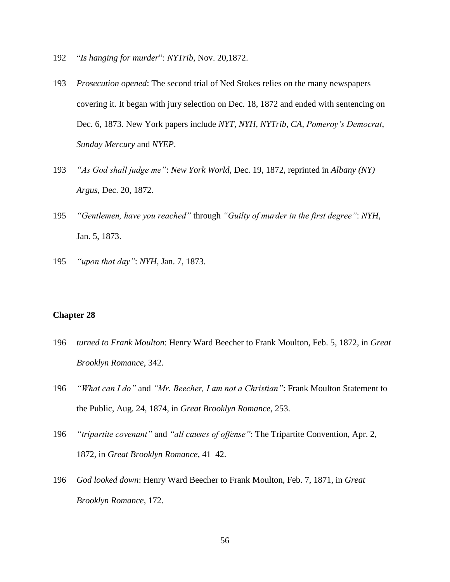- 192 "*Is hanging for murder*": *NYTrib*, Nov. 20,1872.
- 193 *Prosecution opened*: The second trial of Ned Stokes relies on the many newspapers covering it. It began with jury selection on Dec. 18, 1872 and ended with sentencing on Dec. 6, 1873. New York papers include *NYT*, *NYH*, *NYTrib*, *CA*, *Pomeroy's Democrat*, *Sunday Mercury* and *NYEP*.
- 193 *"As God shall judge me"*: *New York World*, Dec. 19, 1872, reprinted in *Albany (NY) Argus*, Dec. 20, 1872.
- 195 *"Gentlemen, have you reached"* through *"Guilty of murder in the first degree"*: *NYH*, Jan. 5, 1873.
- 195 *"upon that day"*: *NYH*, Jan. 7, 1873.

- 196 *turned to Frank Moulton*: Henry Ward Beecher to Frank Moulton, Feb. 5, 1872, in *Great Brooklyn Romance*, 342.
- 196 *"What can I do"* and *"Mr. Beecher, I am not a Christian"*: Frank Moulton Statement to the Public, Aug. 24, 1874, in *Great Brooklyn Romance*, 253.
- 196 *"tripartite covenant"* and *"all causes of offense"*: The Tripartite Convention, Apr. 2, 1872, in *Great Brooklyn Romance*, 41–42.
- 196 *God looked down*: Henry Ward Beecher to Frank Moulton, Feb. 7, 1871, in *Great Brooklyn Romance*, 172.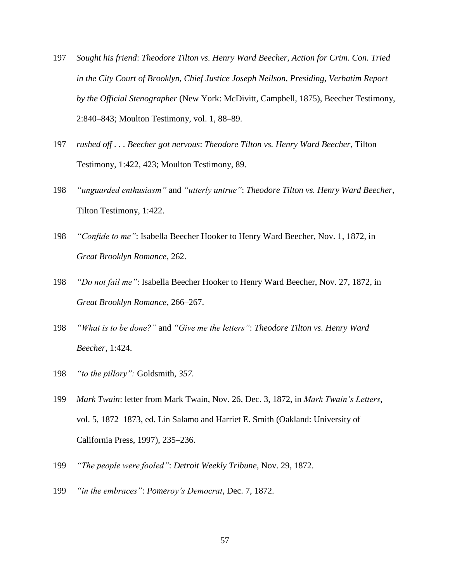- 197 *Sought his friend*: *Theodore Tilton vs. Henry Ward Beecher, Action for Crim. Con. Tried in the City Court of Brooklyn, Chief Justice Joseph Neilson, Presiding, Verbatim Report by the Official Stenographer* (New York: McDivitt, Campbell, 1875), Beecher Testimony, 2:840–843; Moulton Testimony, vol. 1, 88–89.
- 197 *rushed off . . . Beecher got nervous*: *Theodore Tilton vs. Henry Ward Beecher*, Tilton Testimony, 1:422, 423; Moulton Testimony, 89.
- 198 *"unguarded enthusiasm"* and *"utterly untrue"*: *Theodore Tilton vs. Henry Ward Beecher*, Tilton Testimony, 1:422.
- 198 *"Confide to me"*: Isabella Beecher Hooker to Henry Ward Beecher, Nov. 1, 1872, in *Great Brooklyn Romance*, 262.
- 198 *"Do not fail me"*: Isabella Beecher Hooker to Henry Ward Beecher, Nov. 27, 1872, in *Great Brooklyn Romance*, 266–267.
- 198 *"What is to be done?"* and *"Give me the letters"*: *Theodore Tilton vs. Henry Ward Beecher*, 1:424.
- 198 *"to the pillory":* Goldsmith*, 357.*
- 199 *Mark Twain*: letter from Mark Twain, Nov. 26, Dec. 3, 1872, in *Mark Twain's Letters*, vol. 5, 1872–1873, ed. Lin Salamo and Harriet E. Smith (Oakland: University of California Press, 1997), 235–236.
- 199 *"The people were fooled"*: *Detroit Weekly Tribune*, Nov. 29, 1872.
- 199 *"in the embraces"*: *Pomeroy's Democrat*, Dec. 7, 1872.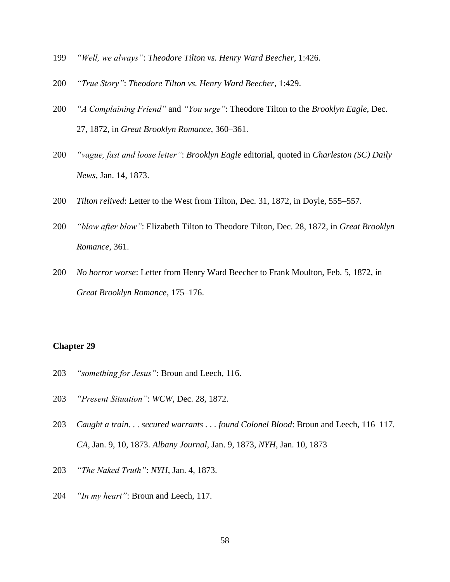- *"Well, we always"*: *Theodore Tilton vs. Henry Ward Beecher*, 1:426.
- *"True Story"*: *Theodore Tilton vs. Henry Ward Beecher*, 1:429.
- *"A Complaining Friend"* and *"You urge"*: Theodore Tilton to the *Brooklyn Eagle*, Dec. 27, 1872, in *Great Brooklyn Romance*, 360–361.
- *"vague, fast and loose letter"*: *Brooklyn Eagle* editorial, quoted in *Charleston (SC) Daily News*, Jan. 14, 1873.
- *Tilton relived*: Letter to the West from Tilton, Dec. 31, 1872, in Doyle, 555–557.
- *"blow after blow"*: Elizabeth Tilton to Theodore Tilton, Dec. 28, 1872, in *Great Brooklyn Romance*, 361.
- *No horror worse*: Letter from Henry Ward Beecher to Frank Moulton, Feb. 5, 1872, in *Great Brooklyn Romance*, 175–176.

- *"something for Jesus"*: Broun and Leech, 116.
- *"Present Situation"*: *WCW*, Dec. 28, 1872.
- *Caught a train. . . secured warrants . . . found Colonel Blood*: Broun and Leech, 116–117. *CA*, Jan. 9, 10, 1873. *Albany Journal*, Jan. 9, 1873, *NYH*, Jan. 10, 1873
- *"The Naked Truth"*: *NYH*, Jan. 4, 1873.
- *"In my heart"*: Broun and Leech, 117.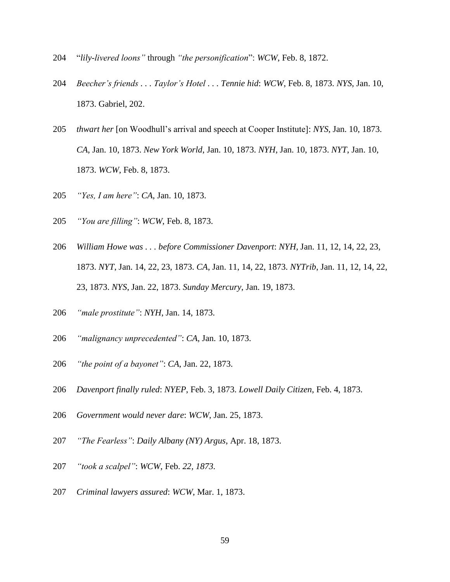- "*lily-livered loons"* through *"the personification*": *WCW*, Feb. 8, 1872.
- *Beecher's friends . . . Taylor's Hotel . . . Tennie hid*: *WCW*, Feb. 8, 1873. *NYS*, Jan. 10, 1873. Gabriel, 202.
- *thwart her* [on Woodhull's arrival and speech at Cooper Institute]: *NYS*, Jan. 10, 1873. *CA*, Jan. 10, 1873. *New York World*, Jan. 10, 1873. *NYH*, Jan. 10, 1873. *NYT*, Jan. 10, 1873. *WCW*, Feb. 8, 1873.
- *"Yes, I am here"*: *CA*, Jan. 10, 1873.
- *"You are filling"*: *WCW*, Feb. 8, 1873.
- *William Howe was . . . before Commissioner Davenport*: *NYH*, Jan. 11, 12, 14, 22, 23, 1873. *NYT*, Jan. 14, 22, 23, 1873. *CA*, Jan. 11, 14, 22, 1873. *NYTrib*, Jan. 11, 12, 14, 22, 23, 1873. *NYS*, Jan. 22, 1873. *Sunday Mercury*, Jan. 19, 1873.
- *"male prostitute"*: *NYH*, Jan. 14, 1873.
- *"malignancy unprecedented"*: *CA*, Jan. 10, 1873.
- *"the point of a bayonet"*: *CA*, Jan. 22, 1873.
- *Davenport finally ruled*: *NYEP*, Feb. 3, 1873. *Lowell Daily Citizen*, Feb. 4, 1873.
- *Government would never dare*: *WCW*, Jan. 25, 1873.
- *"The Fearless"*: *Daily Albany (NY) Argus*, Apr. 18, 1873.
- *"took a scalpel"*: *WCW*, Feb. *22, 1873.*
- *Criminal lawyers assured*: *WCW*, Mar. 1, 1873.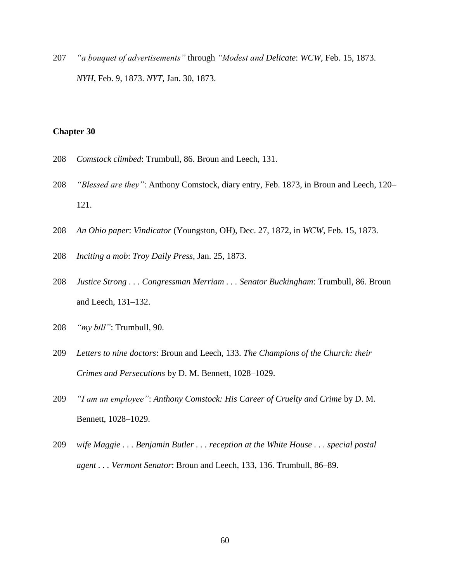*"a bouquet of advertisements"* through *"Modest and Delicate*: *WCW*, Feb. 15, 1873. *NYH*, Feb. 9, 1873. *NYT*, Jan. 30, 1873.

- *Comstock climbed*: Trumbull, 86. Broun and Leech, 131.
- *"Blessed are they"*: Anthony Comstock, diary entry, Feb. 1873, in Broun and Leech, 120– 121.
- *An Ohio paper*: *Vindicator* (Youngston, OH), Dec. 27, 1872, in *WCW*, Feb. 15, 1873.
- *Inciting a mob*: *Troy Daily Press*, Jan. 25, 1873.
- *Justice Strong . . . Congressman Merriam . . . Senator Buckingham*: Trumbull, 86. Broun and Leech, 131–132.
- *"my bill"*: Trumbull, 90.
- *Letters to nine doctors*: Broun and Leech, 133. *The Champions of the Church: their Crimes and Persecutions* by D. M. Bennett, 1028–1029.
- *"I am an employee"*: *Anthony Comstock: His Career of Cruelty and Crime* by D. M. Bennett, 1028–1029.
- *wife Maggie . . . Benjamin Butler . . . reception at the White House . . . special postal agent . . . Vermont Senator*: Broun and Leech, 133, 136. Trumbull, 86–89.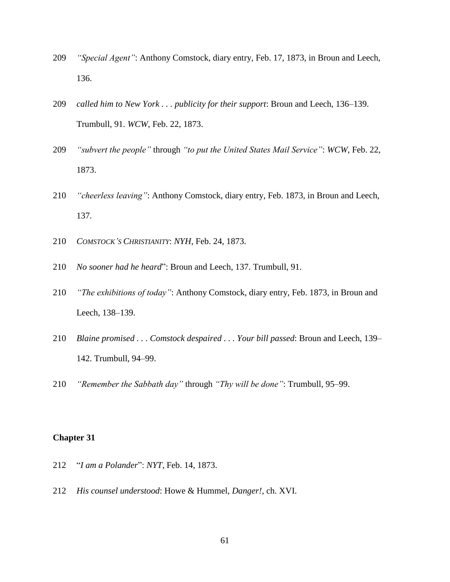- *"Special Agent"*: Anthony Comstock, diary entry, Feb. 17, 1873, in Broun and Leech, 136.
- *called him to New York . . . publicity for their support*: Broun and Leech, 136–139. Trumbull, 91. *WCW*, Feb. 22, 1873.
- *"subvert the people"* through *"to put the United States Mail Service"*: *WCW*, Feb. 22, 1873.
- *"cheerless leaving"*: Anthony Comstock, diary entry, Feb. 1873, in Broun and Leech, 137.
- *COMSTOCK'S CHRISTIANITY*: *NYH*, Feb. 24, 1873.
- *No sooner had he heard*": Broun and Leech, 137. Trumbull, 91.
- *"The exhibitions of today"*: Anthony Comstock, diary entry, Feb. 1873, in Broun and Leech, 138–139.
- *Blaine promised . . . Comstock despaired . . . Your bill passed*: Broun and Leech, 139– 142. Trumbull, 94–99.
- *"Remember the Sabbath day"* through *"Thy will be done"*: Trumbull, 95–99.

- "*I am a Polander*": *NYT*, Feb. 14, 1873.
- *His counsel understood*: Howe & Hummel, *Danger!*, ch. XVI.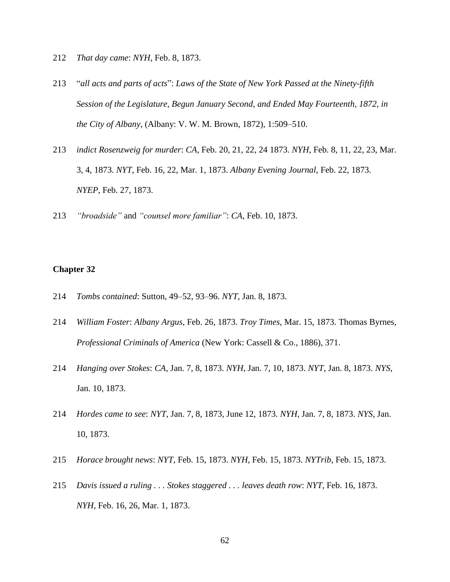- 212 *That day came*: *NYH*, Feb. 8, 1873.
- 213 "*all acts and parts of acts*": *Laws of the State of New York Passed at the Ninety-fifth Session of the Legislature, Begun January Second, and Ended May Fourteenth, 1872, in the City of Albany*, (Albany: V. W. M. Brown, 1872), 1:509–510.
- 213 *indict Rosenzweig for murder*: *CA*, Feb. 20, 21, 22, 24 1873. *NYH*, Feb. 8, 11, 22, 23, Mar. 3, 4, 1873. *NYT*, Feb. 16, 22, Mar. 1, 1873. *Albany Evening Journal*, Feb. 22, 1873. *NYEP*, Feb. 27, 1873.
- 213 *"broadside"* and *"counsel more familiar"*: *CA*, Feb. 10, 1873.

- 214 *Tombs contained*: Sutton, 49–52, 93–96. *NYT*, Jan. 8, 1873.
- 214 *William Foster*: *Albany Argus*, Feb. 26, 1873. *Troy Times*, Mar. 15, 1873. Thomas Byrnes, *Professional Criminals of America* (New York: Cassell & Co., 1886), 371.
- 214 *Hanging over Stokes*: *CA*, Jan. 7, 8, 1873. *NYH*, Jan. 7, 10, 1873. *NYT*, Jan. 8, 1873. *NYS*, Jan. 10, 1873.
- 214 *Hordes came to see*: *NYT*, Jan. 7, 8, 1873, June 12, 1873. *NYH*, Jan. 7, 8, 1873. *NYS*, Jan. 10, 1873.
- 215 *Horace brought news*: *NYT*, Feb. 15, 1873. *NYH*, Feb. 15, 1873. *NYTrib*, Feb. 15, 1873.
- 215 *Davis issued a ruling . . . Stokes staggered . . . leaves death row*: *NYT*, Feb. 16, 1873. *NYH*, Feb. 16, 26, Mar. 1, 1873.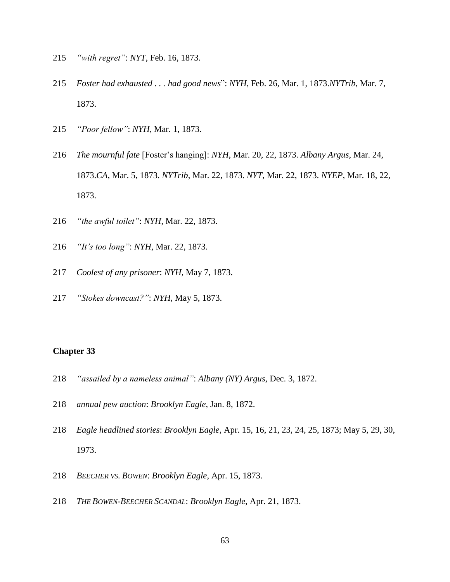- *"with regret"*: *NYT*, Feb. 16, 1873.
- *Foster had exhausted . . . had good news*": *NYH*, Feb. 26, Mar. 1, 1873.*NYTrib*, Mar. 7, 1873.
- *"Poor fellow"*: *NYH*, Mar. 1, 1873.
- *The mournful fate* [Foster's hanging]: *NYH*, Mar. 20, 22, 1873. *Albany Argus*, Mar. 24, 1873.*CA*, Mar. 5, 1873. *NYTrib*, Mar. 22, 1873. *NYT*, Mar. 22, 1873. *NYEP*, Mar. 18, 22, 1873.
- *"the awful toilet"*: *NYH*, Mar. 22, 1873.
- *"It's too long"*: *NYH*, Mar. 22, 1873.
- *Coolest of any prisoner*: *NYH*, May 7, 1873.
- *"Stokes downcast?"*: *NYH*, May 5, 1873.

- *"assailed by a nameless animal"*: *Albany (NY) Argus*, Dec. 3, 1872.
- *annual pew auction*: *Brooklyn Eagle*, Jan. 8, 1872.
- *Eagle headlined stories*: *Brooklyn Eagle*, Apr. 15, 16, 21, 23, 24, 25, 1873; May 5, 29, 30, 1973.
- *BEECHER VS. BOWEN*: *Brooklyn Eagle*, Apr. 15, 1873.
- *THE BOWEN-BEECHER SCANDAL*: *Brooklyn Eagle*, Apr. 21, 1873.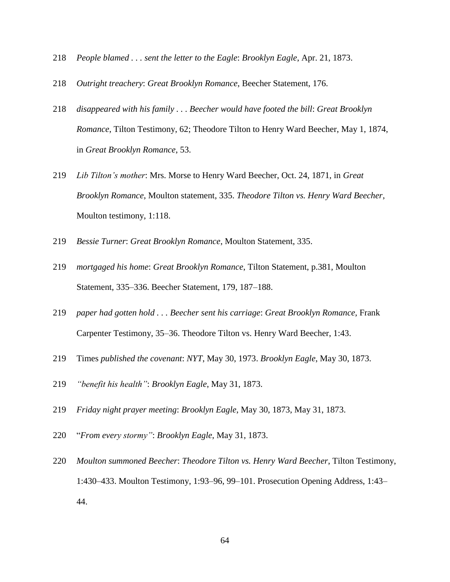- *People blamed . . . sent the letter to the Eagle*: *Brooklyn Eagle*, Apr. 21, 1873.
- *Outright treachery*: *Great Brooklyn Romance*, Beecher Statement, 176.
- *disappeared with his family . . . Beecher would have footed the bill*: *Great Brooklyn Romance*, Tilton Testimony, 62; Theodore Tilton to Henry Ward Beecher, May 1, 1874, in *Great Brooklyn Romance*, 53.
- *Lib Tilton's mother*: Mrs. Morse to Henry Ward Beecher, Oct. 24, 1871, in *Great Brooklyn Romance*, Moulton statement, 335. *Theodore Tilton vs. Henry Ward Beecher*, Moulton testimony, 1:118.
- *Bessie Turner*: *Great Brooklyn Romance*, Moulton Statement, 335.
- *mortgaged his home*: *Great Brooklyn Romance*, Tilton Statement, p.381, Moulton Statement, 335–336. Beecher Statement, 179, 187–188.
- *paper had gotten hold . . . Beecher sent his carriage*: *Great Brooklyn Romance*, Frank Carpenter Testimony, 35–36. Theodore Tilton vs. Henry Ward Beecher, 1:43.
- Times *published the covenant*: *NYT*, May 30, 1973. *Brooklyn Eagle*, May 30, 1873.
- *"benefit his health"*: *Brooklyn Eagle*, May 31, 1873.
- *Friday night prayer meeting*: *Brooklyn Eagle*, May 30, 1873, May 31, 1873.
- "*From every stormy"*: *Brooklyn Eagle*, May 31, 1873.
- *Moulton summoned Beecher*: *Theodore Tilton vs. Henry Ward Beecher*, Tilton Testimony, 1:430–433. Moulton Testimony, 1:93–96, 99–101. Prosecution Opening Address, 1:43– 44.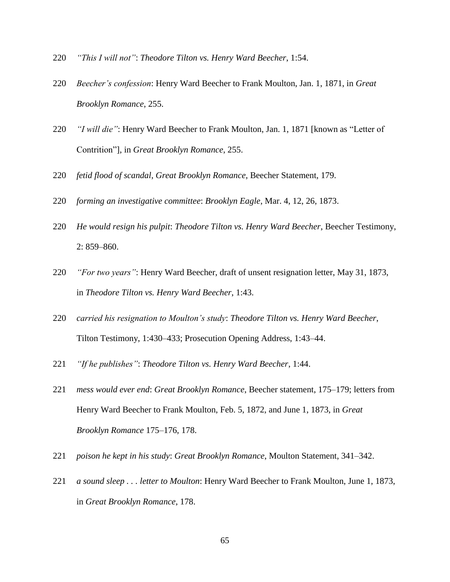- *"This I will not"*: *Theodore Tilton vs. Henry Ward Beecher*, 1:54.
- *Beecher's confession*: Henry Ward Beecher to Frank Moulton, Jan. 1, 1871, in *Great Brooklyn Romance*, 255.
- *"I will die"*: Henry Ward Beecher to Frank Moulton, Jan. 1, 1871 [known as "Letter of Contrition"], in *Great Brooklyn Romance*, 255.
- *fetid flood of scandal*, *Great Brooklyn Romance*, Beecher Statement, 179.
- *forming an investigative committee*: *Brooklyn Eagle*, Mar. 4, 12, 26, 1873.
- *He would resign his pulpit*: *Theodore Tilton vs. Henry Ward Beecher*, Beecher Testimony, 2: 859–860.
- *"For two years"*: Henry Ward Beecher, draft of unsent resignation letter, May 31, 1873, in *Theodore Tilton vs. Henry Ward Beecher*, 1:43.
- *carried his resignation to Moulton's study*: *Theodore Tilton vs. Henry Ward Beecher*, Tilton Testimony, 1:430–433; Prosecution Opening Address, 1:43–44.
- *"If he publishes"*: *Theodore Tilton vs. Henry Ward Beecher*, 1:44.
- *mess would ever end*: *Great Brooklyn Romance*, Beecher statement, 175–179; letters from Henry Ward Beecher to Frank Moulton, Feb. 5, 1872, and June 1, 1873, in *Great Brooklyn Romance* 175–176, 178.
- *poison he kept in his study*: *Great Brooklyn Romance*, Moulton Statement, 341–342.
- *a sound sleep . . . letter to Moulton*: Henry Ward Beecher to Frank Moulton, June 1, 1873, in *Great Brooklyn Romance*, 178.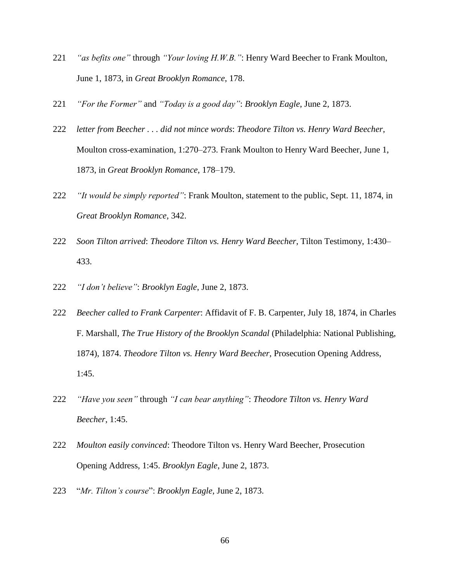- 221 *"as befits one"* through *"Your loving H.W.B."*: Henry Ward Beecher to Frank Moulton, June 1, 1873, in *Great Brooklyn Romance*, 178.
- 221 *"For the Former"* and *"Today is a good day"*: *Brooklyn Eagle*, June 2, 1873.
- 222 *letter from Beecher . . . did not mince words*: *Theodore Tilton vs. Henry Ward Beecher*, Moulton cross-examination, 1:270–273. Frank Moulton to Henry Ward Beecher, June 1, 1873, in *Great Brooklyn Romance*, 178–179.
- 222 *"It would be simply reported"*: Frank Moulton, statement to the public, Sept. 11, 1874, in *Great Brooklyn Romance*, 342.
- 222 *Soon Tilton arrived*: *Theodore Tilton vs. Henry Ward Beecher*, Tilton Testimony, 1:430– 433.
- 222 *"I don't believe"*: *Brooklyn Eagle*, June 2, 1873.
- 222 *Beecher called to Frank Carpenter*: Affidavit of F. B. Carpenter, July 18, 1874, in Charles F. Marshall, *The True History of the Brooklyn Scandal* (Philadelphia: National Publishing, 1874), 1874. *Theodore Tilton vs. Henry Ward Beecher*, Prosecution Opening Address, 1:45.
- 222 *"Have you seen"* through *"I can bear anything"*: *Theodore Tilton vs. Henry Ward Beecher*, 1:45.
- 222 *Moulton easily convinced*: Theodore Tilton vs. Henry Ward Beecher, Prosecution Opening Address, 1:45. *Brooklyn Eagle*, June 2, 1873.
- 223 "*Mr. Tilton's course*": *Brooklyn Eagle*, June 2, 1873.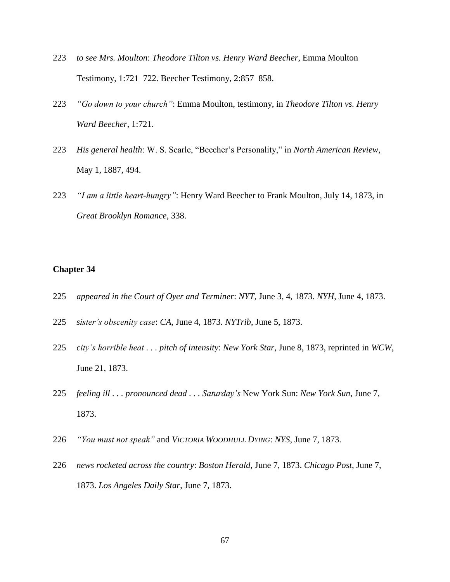- 223 *to see Mrs. Moulton*: *Theodore Tilton vs. Henry Ward Beecher*, Emma Moulton Testimony, 1:721–722. Beecher Testimony, 2:857–858.
- 223 *"Go down to your church"*: Emma Moulton, testimony, in *Theodore Tilton vs. Henry Ward Beecher*, 1:721.
- 223 *His general health*: W. S. Searle, "Beecher's Personality," in *North American Review*, May 1, 1887, 494.
- 223 *"I am a little heart-hungry"*: Henry Ward Beecher to Frank Moulton, July 14, 1873, in *Great Brooklyn Romance*, 338.

- 225 *appeared in the Court of Oyer and Terminer*: *NYT*, June 3, 4, 1873. *NYH*, June 4, 1873.
- 225 *sister's obscenity case*: *CA*, June 4, 1873. *NYTrib*, June 5, 1873.
- 225 *city's horrible heat . . . pitch of intensity*: *New York Star*, June 8, 1873, reprinted in *WCW*, June 21, 1873.
- 225 *feeling ill . . . pronounced dead . . . Saturday's* New York Sun: *New York Sun*, June 7, 1873.
- 226 *"You must not speak"* and *VICTORIA WOODHULL DYING*: *NYS*, June 7, 1873.
- 226 *news rocketed across the country*: *Boston Herald*, June 7, 1873. *Chicago Post*, June 7, 1873. *Los Angeles Daily Star*, June 7, 1873.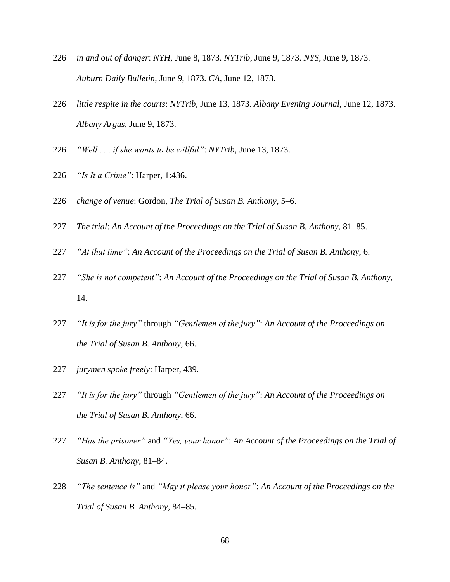- *in and out of danger*: *NYH*, June 8, 1873. *NYTrib*, June 9, 1873. *NYS*, June 9, 1873. *Auburn Daily Bulletin*, June 9, 1873. *CA*, June 12, 1873.
- *little respite in the courts*: *NYTrib*, June 13, 1873. *Albany Evening Journal*, June 12, 1873. *Albany Argus*, June 9, 1873.
- *"Well . . . if she wants to be willful"*: *NYTrib*, June 13, 1873.
- *"Is It a Crime"*: Harper, 1:436.
- *change of venue*: Gordon, *The Trial of Susan B. Anthony*, 5–6.
- *The trial*: *An Account of the Proceedings on the Trial of Susan B. Anthony*, 81–85.
- *"At that time"*: *An Account of the Proceedings on the Trial of Susan B. Anthony*, 6.
- *"She is not competent"*: *An Account of the Proceedings on the Trial of Susan B. Anthony*, 14.
- *"It is for the jury"* through *"Gentlemen of the jury"*: *An Account of the Proceedings on the Trial of Susan B. Anthony*, 66.
- *jurymen spoke freely*: Harper, 439.
- *"It is for the jury"* through *"Gentlemen of the jury"*: *An Account of the Proceedings on the Trial of Susan B. Anthony*, 66.
- *"Has the prisoner"* and *"Yes, your honor"*: *An Account of the Proceedings on the Trial of Susan B. Anthony*, 81–84.
- *"The sentence is"* and *"May it please your honor"*: *An Account of the Proceedings on the Trial of Susan B. Anthony*, 84–85.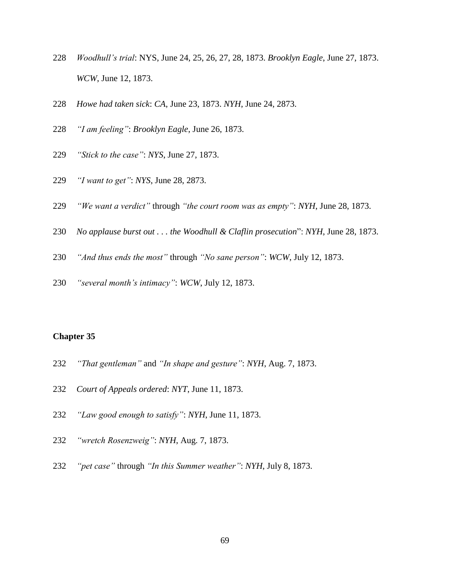- *Woodhull's trial*: NYS, June 24, 25, 26, 27, 28, 1873. *Brooklyn Eagle*, June 27, 1873. *WCW*, June 12, 1873.
- *Howe had taken sick*: *CA*, June 23, 1873. *NYH*, June 24, 2873.
- *"I am feeling"*: *Brooklyn Eagle*, June 26, 1873.
- *"Stick to the case"*: *NYS*, June 27, 1873.
- *"I want to get"*: *NYS*, June 28, 2873.
- *"We want a verdict"* through *"the court room was as empty"*: *NYH*, June 28, 1873.
- *No applause burst out . . . the Woodhull & Claflin prosecution*": *NYH*, June 28, 1873.
- *"And thus ends the most"* through *"No sane person"*: *WCW*, July 12, 1873.
- *"several month's intimacy"*: *WCW*, July 12, 1873.

- *"That gentleman"* and *"In shape and gesture"*: *NYH*, Aug. 7, 1873.
- *Court of Appeals ordered*: *NYT*, June 11, 1873.
- *"Law good enough to satisfy"*: *NYH*, June 11, 1873.
- *"wretch Rosenzweig"*: *NYH*, Aug. 7, 1873.
- *"pet case"* through *"In this Summer weather"*: *NYH*, July 8, 1873.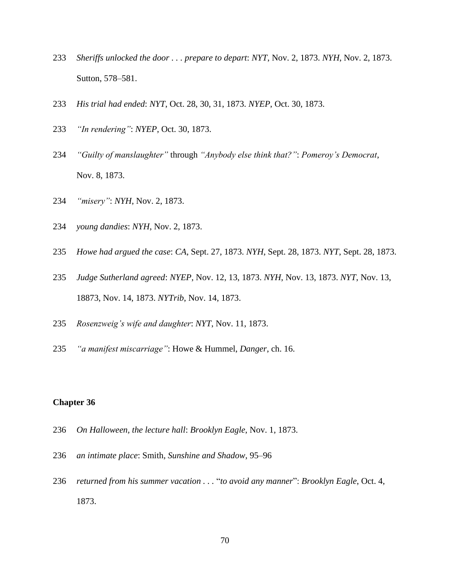- *Sheriffs unlocked the door . . . prepare to depart*: *NYT*, Nov. 2, 1873. *NYH*, Nov. 2, 1873. Sutton, 578–581.
- *His trial had ended*: *NYT*, Oct. 28, 30, 31, 1873. *NYEP*, Oct. 30, 1873.
- *"In rendering"*: *NYEP*, Oct. 30, 1873.
- *"Guilty of manslaughter"* through *"Anybody else think that?"*: *Pomeroy's Democrat*, Nov. 8, 1873.
- *"misery"*: *NYH*, Nov. 2, 1873.
- *young dandies*: *NYH*, Nov. 2, 1873.
- *Howe had argued the case*: *CA*, Sept. 27, 1873. *NYH*, Sept. 28, 1873. *NYT*, Sept. 28, 1873.
- *Judge Sutherland agreed*: *NYEP*, Nov. 12, 13, 1873. *NYH*, Nov. 13, 1873. *NYT*, Nov. 13, 18873, Nov. 14, 1873. *NYTrib*, Nov. 14, 1873.
- *Rosenzweig's wife and daughter*: *NYT*, Nov. 11, 1873.
- *"a manifest miscarriage"*: Howe & Hummel, *Danger*, ch. 16.

- *On Halloween, the lecture hall*: *Brooklyn Eagle*, Nov. 1, 1873.
- *an intimate place*: Smith, *Sunshine and Shadow*, 95–96
- *returned from his summer vacation . . .* "*to avoid any manner*": *Brooklyn Eagle*, Oct. 4, 1873.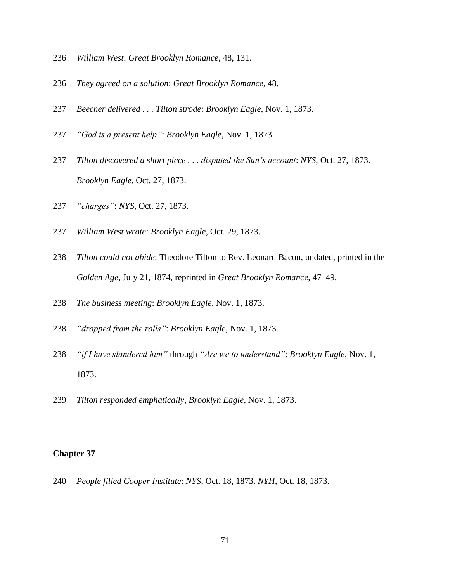- *William West*: *Great Brooklyn Romance*, 48, 131.
- *They agreed on a solution*: *Great Brooklyn Romance*, 48.
- *Beecher delivered . . . Tilton strode*: *Brooklyn Eagle*, Nov. 1, 1873.
- *"God is a present help"*: *Brooklyn Eagle*, Nov. 1, 1873
- *Tilton discovered a short piece . . . disputed the Sun's account*: *NYS*, Oct. 27, 1873. *Brooklyn Eagle*, Oct. 27, 1873.
- *"charges"*: *NYS*, Oct. 27, 1873.
- *William West wrote*: *Brooklyn Eagle*, Oct. 29, 1873.
- *Tilton could not abide*: Theodore Tilton to Rev. Leonard Bacon, undated, printed in the *Golden Age*, July 21, 1874, reprinted in *Great Brooklyn Romance*, 47–49.
- *The business meeting*: *Brooklyn Eagle*, Nov. 1, 1873.
- *"dropped from the rolls"*: *Brooklyn Eagle*, Nov. 1, 1873.
- *"if I have slandered him"* through *"Are we to understand"*: *Brooklyn Eagle*, Nov. 1, 1873.
- *Tilton responded emphatically*, *Brooklyn Eagle*, Nov. 1, 1873.

*People filled Cooper Institute*: *NYS*, Oct. 18, 1873. *NYH*, Oct. 18, 1873.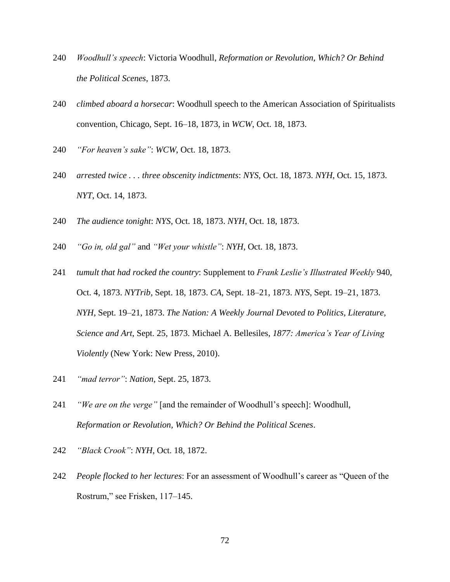- 240 *Woodhull's speech*: Victoria Woodhull, *Reformation or Revolution, Which? Or Behind the Political Scenes*, 1873.
- 240 *climbed aboard a horsecar*: Woodhull speech to the American Association of Spiritualists convention, Chicago, Sept. 16–18, 1873, in *WCW*, Oct. 18, 1873.
- 240 *"For heaven's sake"*: *WCW*, Oct. 18, 1873.
- 240 *arrested twice . . . three obscenity indictments*: *NYS*, Oct. 18, 1873. *NYH*, Oct. 15, 1873. *NYT*, Oct. 14, 1873.
- 240 *The audience tonight*: *NYS*, Oct. 18, 1873. *NYH*, Oct. 18, 1873.
- 240 *"Go in, old gal"* and *"Wet your whistle"*: *NYH*, Oct. 18, 1873.
- 241 *tumult that had rocked the country*: Supplement to *Frank Leslie's Illustrated Weekly* 940, Oct. 4, 1873. *NYTrib*, Sept. 18, 1873. *CA*, Sept. 18–21, 1873. *NYS*, Sept. 19–21, 1873. *NYH*, Sept. 19–21, 1873. *The Nation: A Weekly Journal Devoted to Politics, Literature, Science and Art*, Sept. 25, 1873. Michael A. Bellesiles, *1877: America's Year of Living Violently* (New York: New Press, 2010).
- 241 *"mad terror"*: *Nation*, Sept. 25, 1873.
- 241 *"We are on the verge"* [and the remainder of Woodhull's speech]: Woodhull, *Reformation or Revolution, Which? Or Behind the Political Scenes*.
- 242 *"Black Crook"*: *NYH*, Oct. 18, 1872.
- 242 *People flocked to her lectures*: For an assessment of Woodhull's career as "Queen of the Rostrum," see Frisken, 117–145.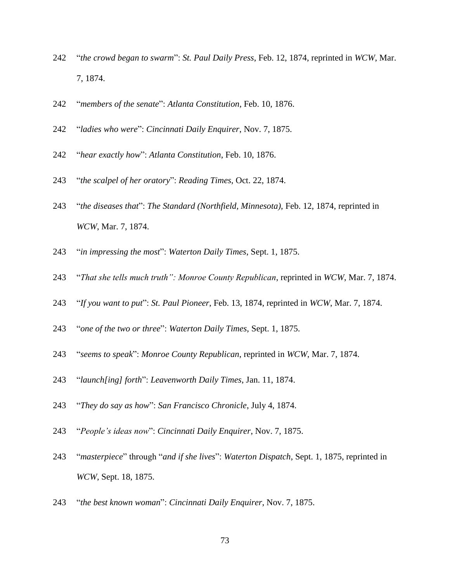- "*the crowd began to swarm*": *St. Paul Daily Press*, Feb. 12, 1874, reprinted in *WCW*, Mar. 7, 1874.
- "*members of the senate*": *Atlanta Constitution*, Feb. 10, 1876.
- "*ladies who were*": *Cincinnati Daily Enquirer*, Nov. 7, 1875.
- "*hear exactly how*": *Atlanta Constitution*, Feb. 10, 1876.
- "*the scalpel of her oratory*": *Reading Times*, Oct. 22, 1874.
- "*the diseases that*": *The Standard (Northfield, Minnesota)*, Feb. 12, 1874, reprinted in *WCW*, Mar. 7, 1874.
- "*in impressing the most*": *Waterton Daily Times*, Sept. 1, 1875.
- "*That she tells much truth": Monroe County Republican*, reprinted in *WCW*, Mar. 7, 1874.
- "*If you want to put*": *St. Paul Pioneer*, Feb. 13, 1874, reprinted in *WCW*, Mar. 7, 1874.
- "*one of the two or three*": *Waterton Daily Times*, Sept. 1, 1875.
- "*seems to speak*": *Monroe County Republican*, reprinted in *WCW*, Mar. 7, 1874.
- "*launch[ing] forth*": *Leavenworth Daily Times*, Jan. 11, 1874.
- "*They do say as how*": *San Francisco Chronicle*, July 4, 1874.
- "*People's ideas now*": *Cincinnati Daily Enquirer*, Nov. 7, 1875.
- "*masterpiece*" through "*and if she lives*": *Waterton Dispatch*, Sept. 1, 1875, reprinted in *WCW*, Sept. 18, 1875.
- "*the best known woman*": *Cincinnati Daily Enquirer*, Nov. 7, 1875.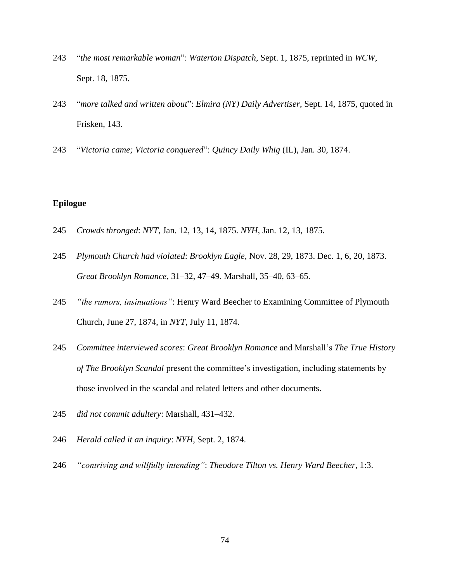- "*the most remarkable woman*": *Waterton Dispatch*, Sept. 1, 1875, reprinted in *WCW*, Sept. 18, 1875.
- "*more talked and written about*": *Elmira (NY) Daily Advertiser*, Sept. 14, 1875, quoted in Frisken, 143.
- "*Victoria came; Victoria conquered*": *Quincy Daily Whig* (IL), Jan. 30, 1874.

## **Epilogue**

- *Crowds thronged*: *NYT*, Jan. 12, 13, 14, 1875. *NYH*, Jan. 12, 13, 1875.
- *Plymouth Church had violated*: *Brooklyn Eagle*, Nov. 28, 29, 1873. Dec. 1, 6, 20, 1873. *Great Brooklyn Romance*, 31–32, 47–49. Marshall, 35–40, 63–65.
- *"the rumors, insinuations"*: Henry Ward Beecher to Examining Committee of Plymouth Church, June 27, 1874, in *NYT*, July 11, 1874.
- *Committee interviewed scores*: *Great Brooklyn Romance* and Marshall's *The True History of The Brooklyn Scandal* present the committee's investigation, including statements by those involved in the scandal and related letters and other documents.
- *did not commit adultery*: Marshall, 431–432.
- *Herald called it an inquiry*: *NYH*, Sept. 2, 1874.
- *"contriving and willfully intending"*: *Theodore Tilton vs. Henry Ward Beecher*, 1:3.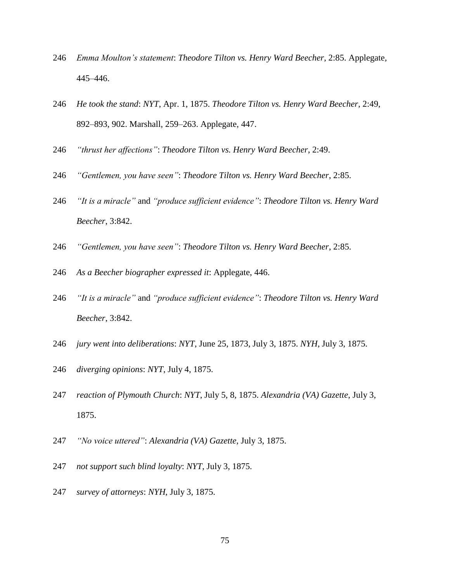- *Emma Moulton's statement*: *Theodore Tilton vs. Henry Ward Beecher*, 2:85. Applegate*,*  445–446.
- *He took the stand*: *NYT*, Apr. 1, 1875. *Theodore Tilton vs. Henry Ward Beecher*, 2:49, 892–893, 902. Marshall, 259–263. Applegate, 447.
- *"thrust her affections"*: *Theodore Tilton vs. Henry Ward Beecher*, 2:49.
- *"Gentlemen, you have seen"*: *Theodore Tilton vs. Henry Ward Beecher*, 2:85.
- *"It is a miracle"* and *"produce sufficient evidence"*: *Theodore Tilton vs. Henry Ward Beecher*, 3:842.
- *"Gentlemen, you have seen"*: *Theodore Tilton vs. Henry Ward Beecher*, 2:85.
- *As a Beecher biographer expressed it*: Applegate, 446.
- *"It is a miracle"* and *"produce sufficient evidence"*: *Theodore Tilton vs. Henry Ward Beecher*, 3:842.
- *jury went into deliberations*: *NYT*, June 25, 1873, July 3, 1875. *NYH*, July 3, 1875.
- *diverging opinions*: *NYT*, July 4, 1875.
- *reaction of Plymouth Church*: *NYT*, July 5, 8, 1875. *Alexandria (VA) Gazette*, July 3, 1875.
- *"No voice uttered"*: *Alexandria (VA) Gazette*, July 3, 1875.
- *not support such blind loyalty*: *NYT*, July 3, 1875.
- *survey of attorneys*: *NYH*, July 3, 1875.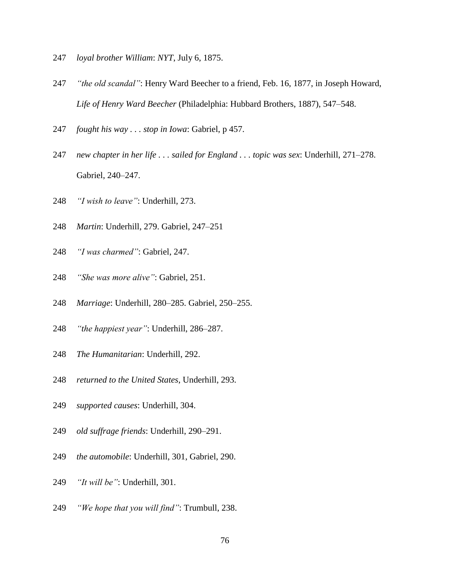- *loyal brother William*: *NYT*, July 6, 1875.
- *"the old scandal"*: Henry Ward Beecher to a friend, Feb. 16, 1877, in Joseph Howard, *Life of Henry Ward Beecher* (Philadelphia: Hubbard Brothers, 1887), 547–548.
- *fought his way . . . stop in Iowa*: Gabriel, p 457.
- *new chapter in her life . . . sailed for England . . . topic was sex*: Underhill, 271–278. Gabriel, 240–247.
- *"I wish to leave"*: Underhill, 273.
- *Martin*: Underhill, 279. Gabriel, 247–251
- *"I was charmed"*: Gabriel, 247.
- *"She was more alive"*: Gabriel, 251.
- *Marriage*: Underhill, 280–285. Gabriel, 250–255.
- *"the happiest year"*: Underhill, 286–287.
- *The Humanitarian*: Underhill, 292.
- *returned to the United States*, Underhill, 293.
- *supported causes*: Underhill, 304.
- *old suffrage friends*: Underhill, 290–291.
- *the automobile*: Underhill, 301, Gabriel, 290.
- *"It will be"*: Underhill, 301.
- *"We hope that you will find"*: Trumbull, 238.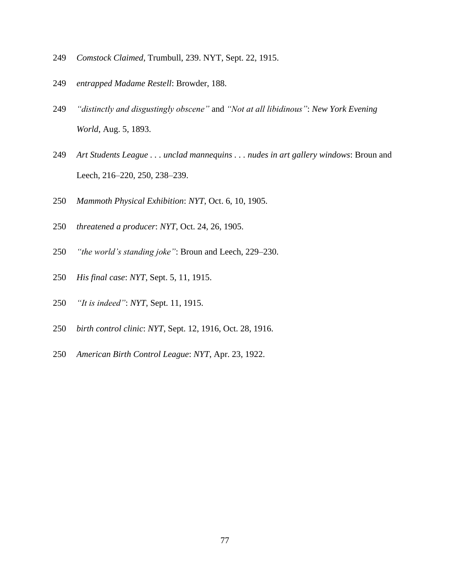- *Comstock Claimed*, Trumbull, 239. NYT, Sept. 22, 1915.
- *entrapped Madame Restell*: Browder, 188.
- *"distinctly and disgustingly obscene"* and *"Not at all libidinous"*: *New York Evening World*, Aug. 5, 1893.
- *Art Students League . . . unclad mannequins . . . nudes in art gallery windows*: Broun and Leech, 216–220, 250, 238–239.
- *Mammoth Physical Exhibition*: *NYT*, Oct. 6, 10, 1905.
- *threatened a producer*: *NYT*, Oct. 24, 26, 1905.
- *"the world's standing joke"*: Broun and Leech, 229–230.
- *His final case*: *NYT*, Sept. 5, 11, 1915.
- *"It is indeed"*: *NYT*, Sept. 11, 1915.
- *birth control clinic*: *NYT*, Sept. 12, 1916, Oct. 28, 1916.
- *American Birth Control League*: *NYT*, Apr. 23, 1922.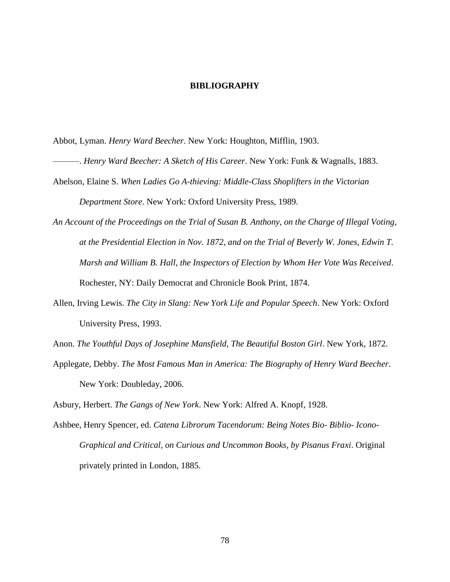## **BIBLIOGRAPHY**

Abbot, Lyman. *Henry Ward Beecher*. New York: Houghton, Mifflin, 1903.

- ———. *Henry Ward Beecher: A Sketch of His Career*. New York: Funk & Wagnalls, 1883.
- Abelson, Elaine S. *When Ladies Go A-thieving: Middle-Class Shoplifters in the Victorian Department Store*. New York: Oxford University Press, 1989.
- *An Account of the Proceedings on the Trial of Susan B. Anthony, on the Charge of Illegal Voting, at the Presidential Election in Nov. 1872, and on the Trial of Beverly W. Jones, Edwin T. Marsh and William B. Hall, the Inspectors of Election by Whom Her Vote Was Received*. Rochester, NY: Daily Democrat and Chronicle Book Print, 1874.
- Allen, Irving Lewis. *The City in Slang: New York Life and Popular Speech*. New York: Oxford University Press, 1993.

Anon. *The Youthful Days of Josephine Mansfield, The Beautiful Boston Girl*. New York, 1872.

Applegate, Debby. *The Most Famous Man in America: The Biography of Henry Ward Beecher*. New York: Doubleday, 2006.

Asbury, Herbert. *The Gangs of New York*. New York: Alfred A. Knopf, 1928.

Ashbee, Henry Spencer, ed. *Catena Librorum Tacendorum: Being Notes Bio- Biblio- Icono-Graphical and Critical, on Curious and Uncommon Books, by Pisanus Fraxi*. Original privately printed in London, 1885.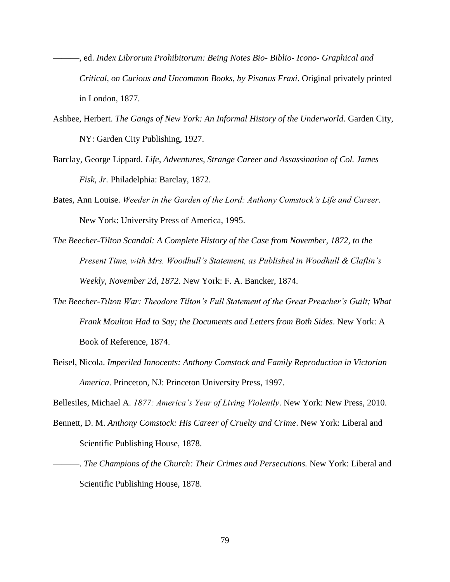- ———, ed. *Index Librorum Prohibitorum: Being Notes Bio- Biblio- Icono- Graphical and Critical, on Curious and Uncommon Books, by Pisanus Fraxi*. Original privately printed in London, 1877.
- Ashbee, Herbert. *The Gangs of New York: An Informal History of the Underworld*. Garden City, NY: Garden City Publishing, 1927.
- Barclay, George Lippard. *Life, Adventures, Strange Career and Assassination of Col. James Fisk, Jr.* Philadelphia: Barclay, 1872.
- Bates, Ann Louise. *Weeder in the Garden of the Lord: Anthony Comstock's Life and Career*. New York: University Press of America, 1995.
- *The Beecher-Tilton Scandal: A Complete History of the Case from November, 1872, to the Present Time, with Mrs. Woodhull's Statement, as Published in Woodhull & Claflin's Weekly, November 2d, 1872*. New York: F. A. Bancker, 1874.
- *The Beecher-Tilton War: Theodore Tilton's Full Statement of the Great Preacher's Guilt; What Frank Moulton Had to Say; the Documents and Letters from Both Sides*. New York: A Book of Reference, 1874.
- Beisel, Nicola. *Imperiled Innocents: Anthony Comstock and Family Reproduction in Victorian America*. Princeton, NJ: Princeton University Press, 1997.

Bellesiles, Michael A. *1877: America's Year of Living Violently*. New York: New Press, 2010.

- Bennett, D. M. *Anthony Comstock: His Career of Cruelty and Crime*. New York: Liberal and Scientific Publishing House, 1878.
- ———. *The Champions of the Church: Their Crimes and Persecutions.* New York: Liberal and Scientific Publishing House, 1878.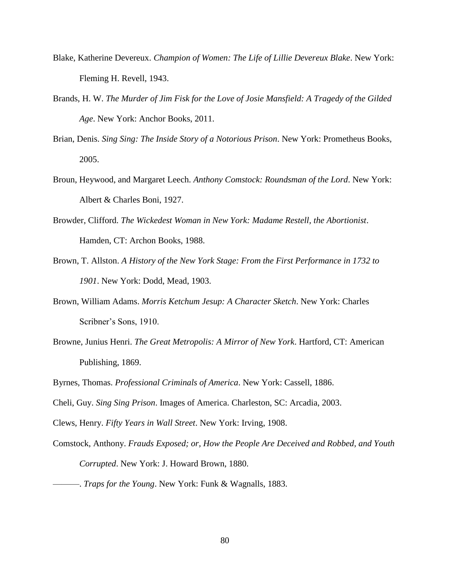- Blake, Katherine Devereux. *Champion of Women: The Life of Lillie Devereux Blake*. New York: Fleming H. Revell, 1943.
- Brands, H. W. *The Murder of Jim Fisk for the Love of Josie Mansfield: A Tragedy of the Gilded Age*. New York: Anchor Books, 2011.
- Brian, Denis. *Sing Sing: The Inside Story of a Notorious Prison*. New York: Prometheus Books, 2005.
- Broun, Heywood, and Margaret Leech. *Anthony Comstock: Roundsman of the Lord*. New York: Albert & Charles Boni, 1927.
- Browder, Clifford. *The Wickedest Woman in New York: Madame Restell, the Abortionist*. Hamden, CT: Archon Books, 1988.
- Brown, T. Allston. *A History of the New York Stage: From the First Performance in 1732 to 1901*. New York: Dodd, Mead, 1903.
- Brown, William Adams. *Morris Ketchum Jesup: A Character Sketch*. New York: Charles Scribner's Sons, 1910.
- Browne, Junius Henri. *The Great Metropolis: A Mirror of New York*. Hartford, CT: American Publishing, 1869.
- Byrnes, Thomas. *Professional Criminals of America*. New York: Cassell, 1886.
- Cheli, Guy. *Sing Sing Prison*. Images of America. Charleston, SC: Arcadia, 2003.
- Clews, Henry. *Fifty Years in Wall Street*. New York: Irving, 1908.
- Comstock, Anthony. *Frauds Exposed; or, How the People Are Deceived and Robbed, and Youth Corrupted*. New York: J. Howard Brown, 1880.
	- ———. *Traps for the Young*. New York: Funk & Wagnalls, 1883.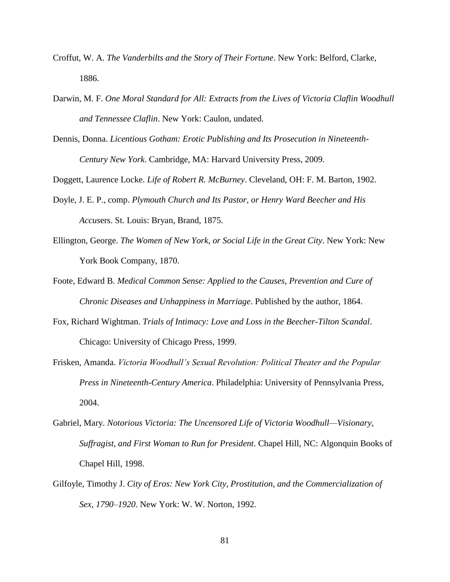- Croffut, W. A. *The Vanderbilts and the Story of Their Fortune*. New York: Belford, Clarke, 1886.
- Darwin, M. F. *One Moral Standard for All: Extracts from the Lives of Victoria Claflin Woodhull and Tennessee Claflin*. New York: Caulon, undated.
- Dennis, Donna. *Licentious Gotham: Erotic Publishing and Its Prosecution in Nineteenth-Century New York*. Cambridge, MA: Harvard University Press, 2009.

Doggett, Laurence Locke. *Life of Robert R. McBurney*. Cleveland, OH: F. M. Barton, 1902.

- Doyle, J. E. P., comp. *Plymouth Church and Its Pastor, or Henry Ward Beecher and His Accus*ers. St. Louis: Bryan, Brand, 1875.
- Ellington, George. *The Women of New York, or Social Life in the Great City*. New York: New York Book Company, 1870.
- Foote, Edward B. *Medical Common Sense: Applied to the Causes, Prevention and Cure of Chronic Diseases and Unhappiness in Marriage*. Published by the author, 1864.
- Fox, Richard Wightman. *Trials of Intimacy: Love and Loss in the Beecher-Tilton Scandal*. Chicago: University of Chicago Press, 1999.
- Frisken, Amanda. *Victoria Woodhull's Sexual Revolution: Political Theater and the Popular Press in Nineteenth-Century America*. Philadelphia: University of Pennsylvania Press, 2004.
- Gabriel, Mary. *Notorious Victoria: The Uncensored Life of Victoria Woodhull—Visionary, Suffragist, and First Woman to Run for President*. Chapel Hill, NC: Algonquin Books of Chapel Hill, 1998.
- Gilfoyle, Timothy J. *City of Eros: New York City, Prostitution, and the Commercialization of Sex, 1790–1920*. New York: W. W. Norton, 1992.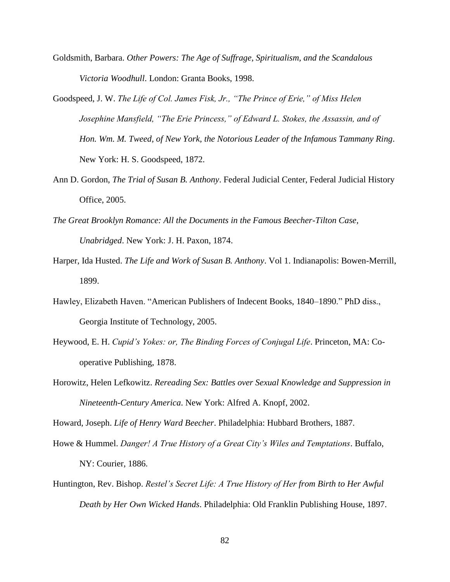- Goldsmith, Barbara. *Other Powers: The Age of Suffrage, Spiritualism, and the Scandalous Victoria Woodhull*. London: Granta Books, 1998.
- Goodspeed, J. W. *The Life of Col. James Fisk, Jr., "The Prince of Erie," of Miss Helen Josephine Mansfield, "The Erie Princess," of Edward L. Stokes, the Assassin, and of Hon. Wm. M. Tweed, of New York, the Notorious Leader of the Infamous Tammany Ring*. New York: H. S. Goodspeed, 1872.
- Ann D. Gordon, *The Trial of Susan B. Anthony*. Federal Judicial Center, Federal Judicial History Office, 2005.
- *The Great Brooklyn Romance: All the Documents in the Famous Beecher-Tilton Case, Unabridged*. New York: J. H. Paxon, 1874.
- Harper, Ida Husted. *The Life and Work of Susan B. Anthony*. Vol 1. Indianapolis: Bowen-Merrill, 1899.
- Hawley, Elizabeth Haven. "American Publishers of Indecent Books, 1840–1890." PhD diss., Georgia Institute of Technology, 2005.
- Heywood, E. H. *Cupid's Yokes: or, The Binding Forces of Conjugal Life*. Princeton, MA: Cooperative Publishing, 1878.
- Horowitz, Helen Lefkowitz. *Rereading Sex: Battles over Sexual Knowledge and Suppression in Nineteenth-Century America*. New York: Alfred A. Knopf, 2002.

Howard, Joseph. *Life of Henry Ward Beecher*. Philadelphia: Hubbard Brothers, 1887.

- Howe & Hummel. *Danger! A True History of a Great City's Wiles and Temptations*. Buffalo, NY: Courier, 1886.
- Huntington, Rev. Bishop. *Restel's Secret Life: A True History of Her from Birth to Her Awful Death by Her Own Wicked Hands*. Philadelphia: Old Franklin Publishing House, 1897.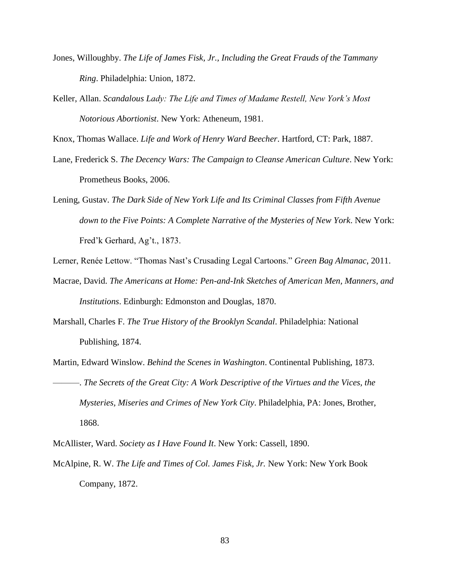- Jones, Willoughby. *The Life of James Fisk, Jr., Including the Great Frauds of the Tammany Ring*. Philadelphia: Union, 1872.
- Keller, Allan. *Scandalous Lady: The Life and Times of Madame Restell, New York's Most Notorious Abortionist*. New York: Atheneum, 1981.

Knox, Thomas Wallace. *Life and Work of Henry Ward Beecher*. Hartford, CT: Park, 1887.

- Lane, Frederick S. *The Decency Wars: The Campaign to Cleanse American Culture*. New York: Prometheus Books, 2006.
- Lening, Gustav. *The Dark Side of New York Life and Its Criminal Classes from Fifth Avenue down to the Five Points: A Complete Narrative of the Mysteries of New York*. New York: Fred'k Gerhard, Ag't., 1873.
- Lerner, Renée Lettow. "Thomas Nast's Crusading Legal Cartoons." *Green Bag Almanac*, 2011.
- Macrae, David. *The Americans at Home: Pen-and-Ink Sketches of American Men, Manners, and Institutions*. Edinburgh: Edmonston and Douglas, 1870.
- Marshall, Charles F. *The True History of the Brooklyn Scandal*. Philadelphia: National Publishing, 1874.
- Martin, Edward Winslow. *Behind the Scenes in Washington*. Continental Publishing, 1873. ———. *The Secrets of the Great City: A Work Descriptive of the Virtues and the Vices, the Mysteries, Miseries and Crimes of New York City*. Philadelphia, PA: Jones, Brother, 1868.

McAllister, Ward. *Society as I Have Found It*. New York: Cassell, 1890.

McAlpine, R. W. *The Life and Times of Col. James Fisk, Jr.* New York: New York Book Company, 1872.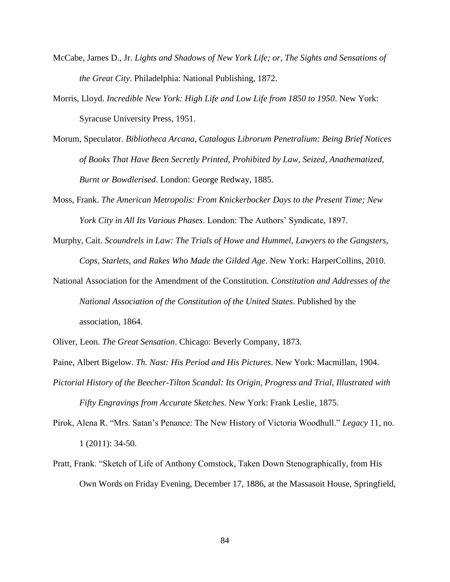- McCabe, James D., Jr. *Lights and Shadows of New York Life; or, The Sights and Sensations of the Great City*. Philadelphia: National Publishing, 1872.
- Morris, Lloyd. *Incredible New York: High Life and Low Life from 1850 to 1950*. New York: Syracuse University Press, 1951.
- Morum, Speculator. *Bibliotheca Arcana, Catalogus Librorum Penetralium: Being Brief Notices of Books That Have Been Secretly Printed, Prohibited by Law, Seized, Anathematized, Burnt or Bowdlerised*. London: George Redway, 1885.
- Moss, Frank. *The American Metropolis: From Knickerbocker Days to the Present Time; New York City in All Its Various Phases*. London: The Authors' Syndicate, 1897.
- Murphy, Cait. *Scoundrels in Law: The Trials of Howe and Hummel, Lawyers to the Gangsters, Cops, Starlets, and Rakes Who Made the Gilded Age*. New York: HarperCollins, 2010.
- National Association for the Amendment of the Constitution. *Constitution and Addresses of the National Association of the Constitution of the United States*. Published by the association, 1864.
- Oliver, Leon. *The Great Sensation*. Chicago: Beverly Company, 1873.
- Paine, Albert Bigelow. *Th. Nast: His Period and His Pictures*. New York: Macmillan, 1904.
- *Pictorial History of the Beecher-Tilton Scandal: Its Origin, Progress and Trial, Illustrated with Fifty Engravings from Accurate Sketches*. New York: Frank Leslie, 1875.
- Pirok, Alena R. "Mrs. Satan's Penance: The New History of Victoria Woodhull." *Legacy* 11, no. 1 (2011): 34-50.
- Pratt, Frank. "Sketch of Life of Anthony Comstock, Taken Down Stenographically, from His Own Words on Friday Evening, December 17, 1886, at the Massasoit House, Springfield,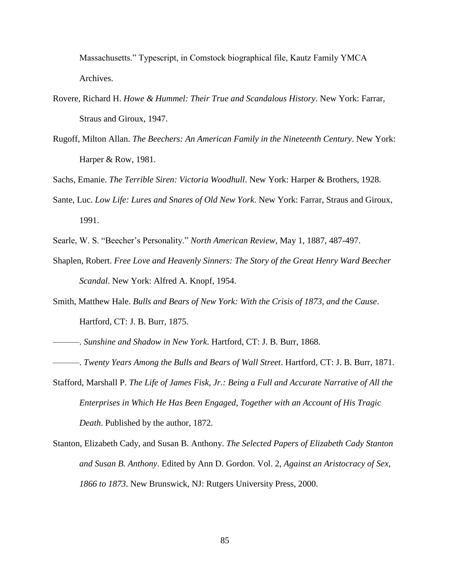Massachusetts." Typescript, in Comstock biographical file, Kautz Family YMCA Archives.

- Rovere, Richard H. *Howe & Hummel: Their True and Scandalous History*. New York: Farrar, Straus and Giroux, 1947.
- Rugoff, Milton Allan. *The Beechers: An American Family in the Nineteenth Century*. New York: Harper & Row, 1981.
- Sachs, Emanie. *The Terrible Siren: Victoria Woodhull*. New York: Harper & Brothers, 1928.
- Sante, Luc. *Low Life: Lures and Snares of Old New York*. New York: Farrar, Straus and Giroux, 1991.
- Searle, W. S. "Beecher's Personality." *North American Review*, May 1, 1887, 487-497.
- Shaplen, Robert. *Free Love and Heavenly Sinners: The Story of the Great Henry Ward Beecher Scandal*. New York: Alfred A. Knopf, 1954.
- Smith, Matthew Hale. *Bulls and Bears of New York: With the Crisis of 1873, and the Cause*. Hartford, CT: J. B. Burr, 1875.
- ———. *Sunshine and Shadow in New York*. Hartford, CT: J. B. Burr, 1868.
- ———. *Twenty Years Among the Bulls and Bears of Wall Street*. Hartford, CT: J. B. Burr, 1871.
- Stafford, Marshall P. *The Life of James Fisk, Jr.: Being a Full and Accurate Narrative of All the Enterprises in Which He Has Been Engaged, Together with an Account of His Tragic Death*. Published by the author, 1872.
- Stanton, Elizabeth Cady, and Susan B. Anthony. *The Selected Papers of Elizabeth Cady Stanton and Susan B. Anthony*. Edited by Ann D. Gordon. Vol. 2, *Against an Aristocracy of Sex, 1866 to 1873*. New Brunswick, NJ: Rutgers University Press, 2000.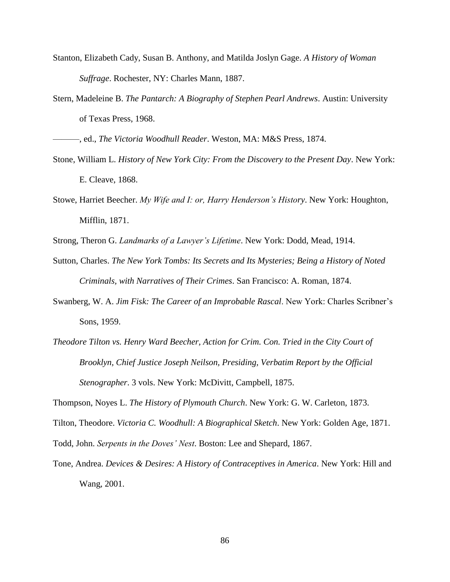- Stanton, Elizabeth Cady, Susan B. Anthony, and Matilda Joslyn Gage. *A History of Woman Suffrage*. Rochester, NY: Charles Mann, 1887.
- Stern, Madeleine B. *The Pantarch: A Biography of Stephen Pearl Andrews*. Austin: University of Texas Press, 1968.

———, ed., *The Victoria Woodhull Reader*. Weston, MA: M&S Press, 1874.

- Stone, William L. *History of New York City: From the Discovery to the Present Day*. New York: E. Cleave, 1868.
- Stowe, Harriet Beecher. *My Wife and I: or, Harry Henderson's History*. New York: Houghton, Mifflin, 1871.

Strong, Theron G. *Landmarks of a Lawyer's Lifetime*. New York: Dodd, Mead, 1914.

- Sutton, Charles. *The New York Tombs: Its Secrets and Its Mysteries; Being a History of Noted Criminals, with Narratives of Their Crimes*. San Francisco: A. Roman, 1874.
- Swanberg, W. A. *Jim Fisk: The Career of an Improbable Rascal*. New York: Charles Scribner's Sons, 1959.
- *Theodore Tilton vs. Henry Ward Beecher, Action for Crim. Con. Tried in the City Court of Brooklyn, Chief Justice Joseph Neilson, Presiding, Verbatim Report by the Official Stenographer*. 3 vols. New York: McDivitt, Campbell, 1875.

Thompson, Noyes L. *The History of Plymouth Church*. New York: G. W. Carleton, 1873.

Tilton, Theodore. *Victoria C. Woodhull: A Biographical Sketch*. New York: Golden Age, 1871.

Todd, John. *Serpents in the Doves' Nest*. Boston: Lee and Shepard, 1867.

Tone, Andrea. *Devices & Desires: A History of Contraceptives in America*. New York: Hill and Wang, 2001.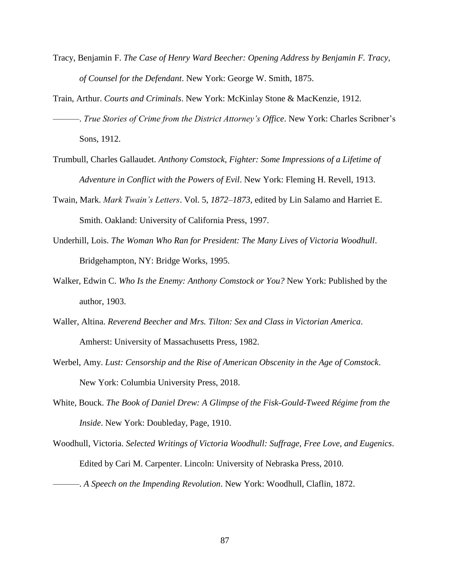- Tracy, Benjamin F. *The Case of Henry Ward Beecher: Opening Address by Benjamin F. Tracy, of Counsel for the Defendant*. New York: George W. Smith, 1875.
- Train, Arthur. *Courts and Criminals*. New York: McKinlay Stone & MacKenzie, 1912. ———. *True Stories of Crime from the District Attorney's Office*. New York: Charles Scribner's Sons, 1912.
- Trumbull, Charles Gallaudet. *Anthony Comstock, Fighter: Some Impressions of a Lifetime of Adventure in Conflict with the Powers of Evil*. New York: Fleming H. Revell, 1913.
- Twain, Mark. *Mark Twain's Letters*. Vol. 5, *1872–1873*, edited by Lin Salamo and Harriet E. Smith. Oakland: University of California Press, 1997.
- Underhill, Lois. *The Woman Who Ran for President: The Many Lives of Victoria Woodhull*. Bridgehampton, NY: Bridge Works, 1995.
- Walker, Edwin C. *Who Is the Enemy: Anthony Comstock or You?* New York: Published by the author, 1903.
- Waller, Altina. *Reverend Beecher and Mrs. Tilton: Sex and Class in Victorian America*. Amherst: University of Massachusetts Press, 1982.
- Werbel, Amy. *Lust: Censorship and the Rise of American Obscenity in the Age of Comstock*. New York: Columbia University Press, 2018.
- White, Bouck. *The Book of Daniel Drew: A Glimpse of the Fisk-Gould-Tweed Régime from the Inside*. New York: Doubleday, Page, 1910.
- Woodhull, Victoria. *Selected Writings of Victoria Woodhull: Suffrage, Free Love, and Eugenics*. Edited by Cari M. Carpenter. Lincoln: University of Nebraska Press, 2010.